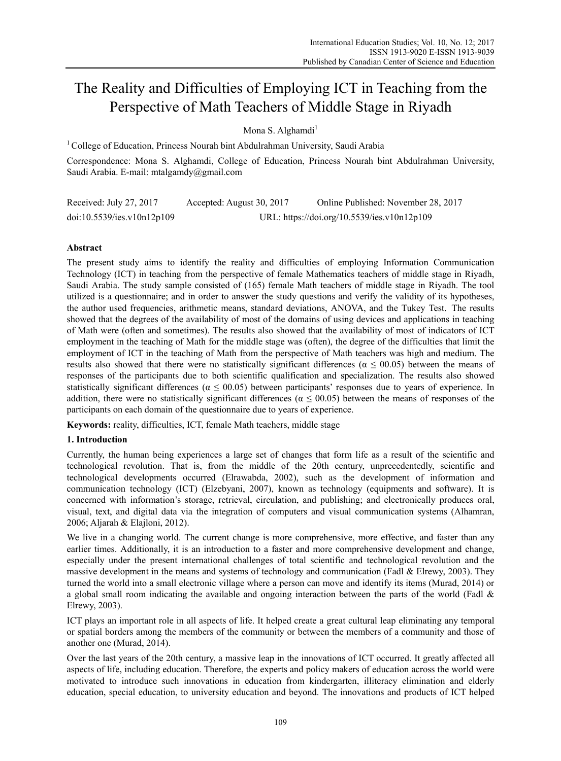# The Reality and Difficulties of Employing ICT in Teaching from the Perspective of Math Teachers of Middle Stage in Riyadh

Mona S. Alghamdi<sup>1</sup>

 $1$  College of Education, Princess Nourah bint Abdulrahman University, Saudi Arabia

Correspondence: Mona S. Alghamdi, College of Education, Princess Nourah bint Abdulrahman University, Saudi Arabia. E-mail: mtalgamdy@gmail.com

Received: July 27, 2017 Accepted: August 30, 2017 Online Published: November 28, 2017 doi:10.5539/ies.v10n12p109 URL: https://doi.org/10.5539/ies.v10n12p109

# **Abstract**

The present study aims to identify the reality and difficulties of employing Information Communication Technology (ICT) in teaching from the perspective of female Mathematics teachers of middle stage in Riyadh, Saudi Arabia. The study sample consisted of (165) female Math teachers of middle stage in Riyadh. The tool utilized is a questionnaire; and in order to answer the study questions and verify the validity of its hypotheses, the author used frequencies, arithmetic means, standard deviations, ANOVA, and the Tukey Test. The results showed that the degrees of the availability of most of the domains of using devices and applications in teaching of Math were (often and sometimes). The results also showed that the availability of most of indicators of ICT employment in the teaching of Math for the middle stage was (often), the degree of the difficulties that limit the employment of ICT in the teaching of Math from the perspective of Math teachers was high and medium. The results also showed that there were no statistically significant differences ( $\alpha \le 00.05$ ) between the means of responses of the participants due to both scientific qualification and specialization. The results also showed statistically significant differences ( $\alpha \le 00.05$ ) between participants' responses due to years of experience. In addition, there were no statistically significant differences ( $\alpha \le 00.05$ ) between the means of responses of the participants on each domain of the questionnaire due to years of experience.

**Keywords:** reality, difficulties, ICT, female Math teachers, middle stage

# **1. Introduction**

Currently, the human being experiences a large set of changes that form life as a result of the scientific and technological revolution. That is, from the middle of the 20th century, unprecedentedly, scientific and technological developments occurred (Elrawabda, 2002), such as the development of information and communication technology (ICT) (Elzebyani, 2007), known as technology (equipments and software). It is concerned with information's storage, retrieval, circulation, and publishing; and electronically produces oral, visual, text, and digital data via the integration of computers and visual communication systems (Alhamran, 2006; Aljarah & Elajloni, 2012).

We live in a changing world. The current change is more comprehensive, more effective, and faster than any earlier times. Additionally, it is an introduction to a faster and more comprehensive development and change, especially under the present international challenges of total scientific and technological revolution and the massive development in the means and systems of technology and communication (Fadl & Elrewy, 2003). They turned the world into a small electronic village where a person can move and identify its items (Murad, 2014) or a global small room indicating the available and ongoing interaction between the parts of the world (Fadl & Elrewy, 2003).

ICT plays an important role in all aspects of life. It helped create a great cultural leap eliminating any temporal or spatial borders among the members of the community or between the members of a community and those of another one (Murad, 2014).

Over the last years of the 20th century, a massive leap in the innovations of ICT occurred. It greatly affected all aspects of life, including education. Therefore, the experts and policy makers of education across the world were motivated to introduce such innovations in education from kindergarten, illiteracy elimination and elderly education, special education, to university education and beyond. The innovations and products of ICT helped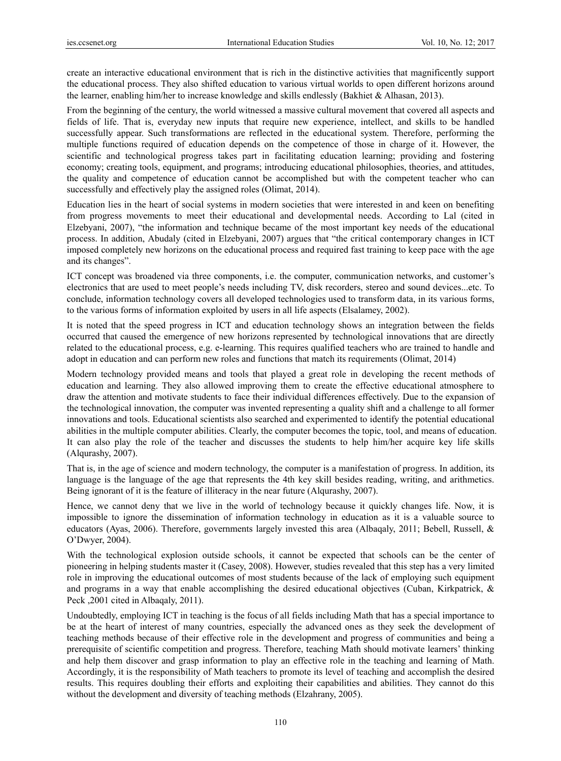create an interactive educational environment that is rich in the distinctive activities that magnificently support the educational process. They also shifted education to various virtual worlds to open different horizons around the learner, enabling him/her to increase knowledge and skills endlessly (Bakhiet & Alhasan, 2013).

From the beginning of the century, the world witnessed a massive cultural movement that covered all aspects and fields of life. That is, everyday new inputs that require new experience, intellect, and skills to be handled successfully appear. Such transformations are reflected in the educational system. Therefore, performing the multiple functions required of education depends on the competence of those in charge of it. However, the scientific and technological progress takes part in facilitating education learning; providing and fostering economy; creating tools, equipment, and programs; introducing educational philosophies, theories, and attitudes, the quality and competence of education cannot be accomplished but with the competent teacher who can successfully and effectively play the assigned roles (Olimat, 2014).

Education lies in the heart of social systems in modern societies that were interested in and keen on benefiting from progress movements to meet their educational and developmental needs. According to Lal (cited in Elzebyani, 2007), "the information and technique became of the most important key needs of the educational process. In addition, Abudaly (cited in Elzebyani, 2007) argues that "the critical contemporary changes in ICT imposed completely new horizons on the educational process and required fast training to keep pace with the age and its changes".

ICT concept was broadened via three components, i.e. the computer, communication networks, and customer's electronics that are used to meet people's needs including TV, disk recorders, stereo and sound devices...etc. To conclude, information technology covers all developed technologies used to transform data, in its various forms, to the various forms of information exploited by users in all life aspects (Elsalamey, 2002).

It is noted that the speed progress in ICT and education technology shows an integration between the fields occurred that caused the emergence of new horizons represented by technological innovations that are directly related to the educational process, e.g. e-learning. This requires qualified teachers who are trained to handle and adopt in education and can perform new roles and functions that match its requirements (Olimat, 2014)

Modern technology provided means and tools that played a great role in developing the recent methods of education and learning. They also allowed improving them to create the effective educational atmosphere to draw the attention and motivate students to face their individual differences effectively. Due to the expansion of the technological innovation, the computer was invented representing a quality shift and a challenge to all former innovations and tools. Educational scientists also searched and experimented to identify the potential educational abilities in the multiple computer abilities. Clearly, the computer becomes the topic, tool, and means of education. It can also play the role of the teacher and discusses the students to help him/her acquire key life skills (Alqurashy, 2007).

That is, in the age of science and modern technology, the computer is a manifestation of progress. In addition, its language is the language of the age that represents the 4th key skill besides reading, writing, and arithmetics. Being ignorant of it is the feature of illiteracy in the near future (Alqurashy, 2007).

Hence, we cannot deny that we live in the world of technology because it quickly changes life. Now, it is impossible to ignore the dissemination of information technology in education as it is a valuable source to educators (Ayas, 2006). Therefore, governments largely invested this area (Albaqaly, 2011; Bebell, Russell, & O'Dwyer, 2004).

With the technological explosion outside schools, it cannot be expected that schools can be the center of pioneering in helping students master it (Casey, 2008). However, studies revealed that this step has a very limited role in improving the educational outcomes of most students because of the lack of employing such equipment and programs in a way that enable accomplishing the desired educational objectives (Cuban, Kirkpatrick, & Peck ,2001 cited in Albaqaly, 2011).

Undoubtedly, employing ICT in teaching is the focus of all fields including Math that has a special importance to be at the heart of interest of many countries, especially the advanced ones as they seek the development of teaching methods because of their effective role in the development and progress of communities and being a prerequisite of scientific competition and progress. Therefore, teaching Math should motivate learners' thinking and help them discover and grasp information to play an effective role in the teaching and learning of Math. Accordingly, it is the responsibility of Math teachers to promote its level of teaching and accomplish the desired results. This requires doubling their efforts and exploiting their capabilities and abilities. They cannot do this without the development and diversity of teaching methods (Elzahrany, 2005).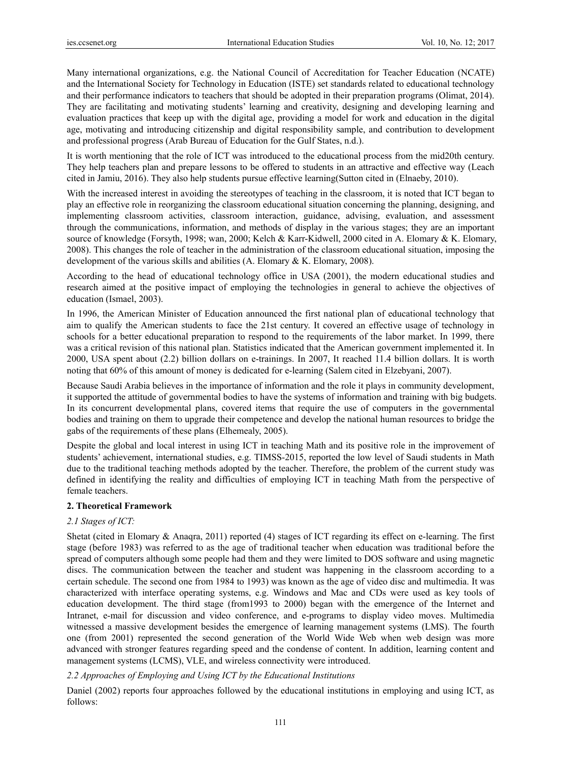Many international organizations, e.g. the National Council of Accreditation for Teacher Education (NCATE) and the International Society for Technology in Education (ISTE) set standards related to educational technology and their performance indicators to teachers that should be adopted in their preparation programs (Olimat, 2014). They are facilitating and motivating students' learning and creativity, designing and developing learning and evaluation practices that keep up with the digital age, providing a model for work and education in the digital age, motivating and introducing citizenship and digital responsibility sample, and contribution to development and professional progress (Arab Bureau of Education for the Gulf States, n.d.).

It is worth mentioning that the role of ICT was introduced to the educational process from the mid20th century. They help teachers plan and prepare lessons to be offered to students in an attractive and effective way (Leach cited in Jamiu, 2016). They also help students pursue effective learning(Sutton cited in (Elnaeby, 2010).

With the increased interest in avoiding the stereotypes of teaching in the classroom, it is noted that ICT began to play an effective role in reorganizing the classroom educational situation concerning the planning, designing, and implementing classroom activities, classroom interaction, guidance, advising, evaluation, and assessment through the communications, information, and methods of display in the various stages; they are an important source of knowledge (Forsyth, 1998; wan, 2000; Kelch & Karr-Kidwell, 2000 cited in A. Elomary & K. Elomary, 2008). This changes the role of teacher in the administration of the classroom educational situation, imposing the development of the various skills and abilities (A. Elomary & K. Elomary, 2008).

According to the head of educational technology office in USA (2001), the modern educational studies and research aimed at the positive impact of employing the technologies in general to achieve the objectives of education (Ismael, 2003).

In 1996, the American Minister of Education announced the first national plan of educational technology that aim to qualify the American students to face the 21st century. It covered an effective usage of technology in schools for a better educational preparation to respond to the requirements of the labor market. In 1999, there was a critical revision of this national plan. Statistics indicated that the American government implemented it. In 2000, USA spent about (2.2) billion dollars on e-trainings. In 2007, It reached 11.4 billion dollars. It is worth noting that 60% of this amount of money is dedicated for e-learning (Salem cited in Elzebyani, 2007).

Because Saudi Arabia believes in the importance of information and the role it plays in community development, it supported the attitude of governmental bodies to have the systems of information and training with big budgets. In its concurrent developmental plans, covered items that require the use of computers in the governmental bodies and training on them to upgrade their competence and develop the national human resources to bridge the gabs of the requirements of these plans (Elhemealy, 2005).

Despite the global and local interest in using ICT in teaching Math and its positive role in the improvement of students' achievement, international studies, e.g. TIMSS-2015, reported the low level of Saudi students in Math due to the traditional teaching methods adopted by the teacher. Therefore, the problem of the current study was defined in identifying the reality and difficulties of employing ICT in teaching Math from the perspective of female teachers.

## **2. Theoretical Framework**

# *2.1 Stages of ICT:*

Shetat (cited in Elomary & Anaqra, 2011) reported (4) stages of ICT regarding its effect on e-learning. The first stage (before 1983) was referred to as the age of traditional teacher when education was traditional before the spread of computers although some people had them and they were limited to DOS software and using magnetic discs. The communication between the teacher and student was happening in the classroom according to a certain schedule. The second one from 1984 to 1993) was known as the age of video disc and multimedia. It was characterized with interface operating systems, e.g. Windows and Mac and CDs were used as key tools of education development. The third stage (from1993 to 2000) began with the emergence of the Internet and Intranet, e-mail for discussion and video conference, and e-programs to display video moves. Multimedia witnessed a massive development besides the emergence of learning management systems (LMS). The fourth one (from 2001) represented the second generation of the World Wide Web when web design was more advanced with stronger features regarding speed and the condense of content. In addition, learning content and management systems (LCMS), VLE, and wireless connectivity were introduced.

## *2.2 Approaches of Employing and Using ICT by the Educational Institutions*

Daniel (2002) reports four approaches followed by the educational institutions in employing and using ICT, as follows: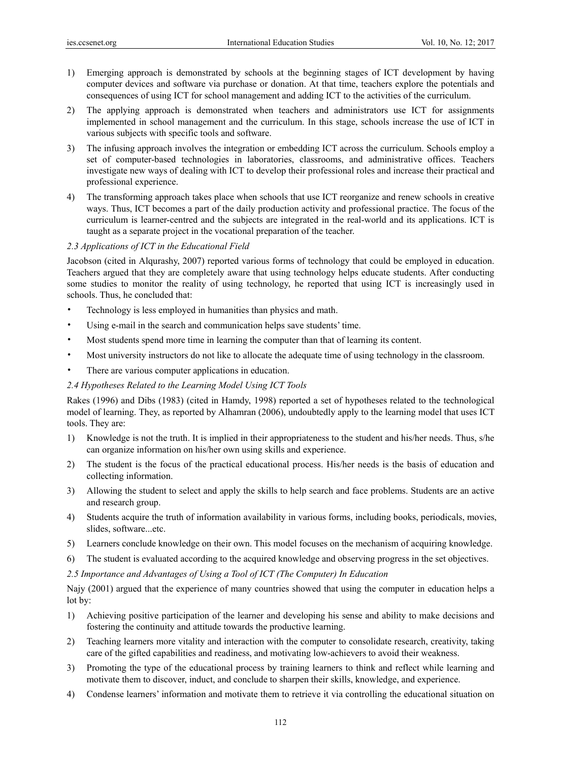- 1) Emerging approach is demonstrated by schools at the beginning stages of ICT development by having computer devices and software via purchase or donation. At that time, teachers explore the potentials and consequences of using ICT for school management and adding ICT to the activities of the curriculum.
- 2) The applying approach is demonstrated when teachers and administrators use ICT for assignments implemented in school management and the curriculum. In this stage, schools increase the use of ICT in various subjects with specific tools and software.
- 3) The infusing approach involves the integration or embedding ICT across the curriculum. Schools employ a set of computer-based technologies in laboratories, classrooms, and administrative offices. Teachers investigate new ways of dealing with ICT to develop their professional roles and increase their practical and professional experience.
- 4) The transforming approach takes place when schools that use ICT reorganize and renew schools in creative ways. Thus, ICT becomes a part of the daily production activity and professional practice. The focus of the curriculum is learner-centred and the subjects are integrated in the real-world and its applications. ICT is taught as a separate project in the vocational preparation of the teacher.

## *2.3 Applications of ICT in the Educational Field*

Jacobson (cited in Alqurashy, 2007) reported various forms of technology that could be employed in education. Teachers argued that they are completely aware that using technology helps educate students. After conducting some studies to monitor the reality of using technology, he reported that using ICT is increasingly used in schools. Thus, he concluded that:

- Technology is less employed in humanities than physics and math.
- Using e-mail in the search and communication helps save students' time.
- Most students spend more time in learning the computer than that of learning its content.
- Most university instructors do not like to allocate the adequate time of using technology in the classroom.
- There are various computer applications in education.

## *2.4 Hypotheses Related to the Learning Model Using ICT Tools*

Rakes (1996) and Dibs (1983) (cited in Hamdy, 1998) reported a set of hypotheses related to the technological model of learning. They, as reported by Alhamran (2006), undoubtedly apply to the learning model that uses ICT tools. They are:

- 1) Knowledge is not the truth. It is implied in their appropriateness to the student and his/her needs. Thus, s/he can organize information on his/her own using skills and experience.
- 2) The student is the focus of the practical educational process. His/her needs is the basis of education and collecting information.
- 3) Allowing the student to select and apply the skills to help search and face problems. Students are an active and research group.
- 4) Students acquire the truth of information availability in various forms, including books, periodicals, movies, slides, software...etc.
- 5) Learners conclude knowledge on their own. This model focuses on the mechanism of acquiring knowledge.
- 6) The student is evaluated according to the acquired knowledge and observing progress in the set objectives.

*2.5 Importance and Advantages of Using a Tool of ICT (The Computer) In Education*

Najy (2001) argued that the experience of many countries showed that using the computer in education helps a lot by:

- 1) Achieving positive participation of the learner and developing his sense and ability to make decisions and fostering the continuity and attitude towards the productive learning.
- 2) Teaching learners more vitality and interaction with the computer to consolidate research, creativity, taking care of the gifted capabilities and readiness, and motivating low-achievers to avoid their weakness.
- 3) Promoting the type of the educational process by training learners to think and reflect while learning and motivate them to discover, induct, and conclude to sharpen their skills, knowledge, and experience.
- 4) Condense learners' information and motivate them to retrieve it via controlling the educational situation on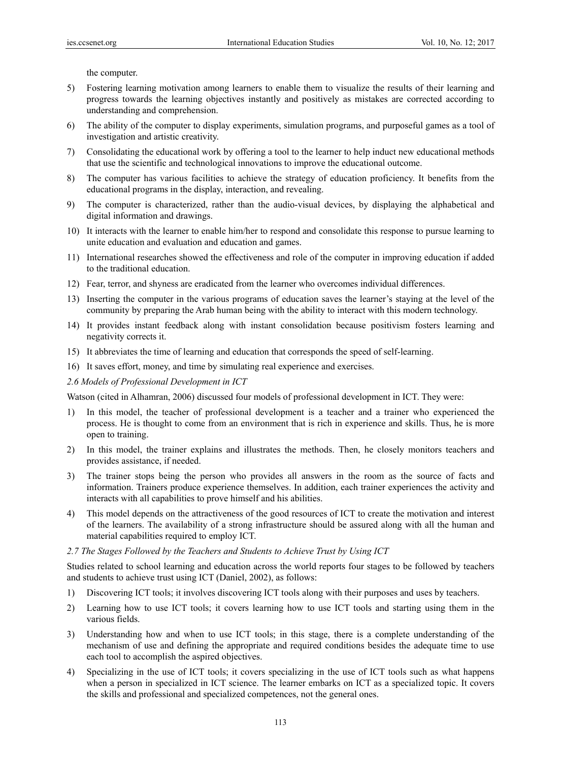the computer.

- 5) Fostering learning motivation among learners to enable them to visualize the results of their learning and progress towards the learning objectives instantly and positively as mistakes are corrected according to understanding and comprehension.
- 6) The ability of the computer to display experiments, simulation programs, and purposeful games as a tool of investigation and artistic creativity.
- 7) Consolidating the educational work by offering a tool to the learner to help induct new educational methods that use the scientific and technological innovations to improve the educational outcome.
- 8) The computer has various facilities to achieve the strategy of education proficiency. It benefits from the educational programs in the display, interaction, and revealing.
- 9) The computer is characterized, rather than the audio-visual devices, by displaying the alphabetical and digital information and drawings.
- 10) It interacts with the learner to enable him/her to respond and consolidate this response to pursue learning to unite education and evaluation and education and games.
- 11) International researches showed the effectiveness and role of the computer in improving education if added to the traditional education.
- 12) Fear, terror, and shyness are eradicated from the learner who overcomes individual differences.
- 13) Inserting the computer in the various programs of education saves the learner's staying at the level of the community by preparing the Arab human being with the ability to interact with this modern technology.
- 14) It provides instant feedback along with instant consolidation because positivism fosters learning and negativity corrects it.
- 15) It abbreviates the time of learning and education that corresponds the speed of self-learning.
- 16) It saves effort, money, and time by simulating real experience and exercises.
- *2.6 Models of Professional Development in ICT*

Watson (cited in Alhamran, 2006) discussed four models of professional development in ICT. They were:

- 1) In this model, the teacher of professional development is a teacher and a trainer who experienced the process. He is thought to come from an environment that is rich in experience and skills. Thus, he is more open to training.
- 2) In this model, the trainer explains and illustrates the methods. Then, he closely monitors teachers and provides assistance, if needed.
- 3) The trainer stops being the person who provides all answers in the room as the source of facts and information. Trainers produce experience themselves. In addition, each trainer experiences the activity and interacts with all capabilities to prove himself and his abilities.
- 4) This model depends on the attractiveness of the good resources of ICT to create the motivation and interest of the learners. The availability of a strong infrastructure should be assured along with all the human and material capabilities required to employ ICT.
- *2.7 The Stages Followed by the Teachers and Students to Achieve Trust by Using ICT*

Studies related to school learning and education across the world reports four stages to be followed by teachers and students to achieve trust using ICT (Daniel, 2002), as follows:

- 1) Discovering ICT tools; it involves discovering ICT tools along with their purposes and uses by teachers.
- 2) Learning how to use ICT tools; it covers learning how to use ICT tools and starting using them in the various fields.
- 3) Understanding how and when to use ICT tools; in this stage, there is a complete understanding of the mechanism of use and defining the appropriate and required conditions besides the adequate time to use each tool to accomplish the aspired objectives.
- 4) Specializing in the use of ICT tools; it covers specializing in the use of ICT tools such as what happens when a person in specialized in ICT science. The learner embarks on ICT as a specialized topic. It covers the skills and professional and specialized competences, not the general ones.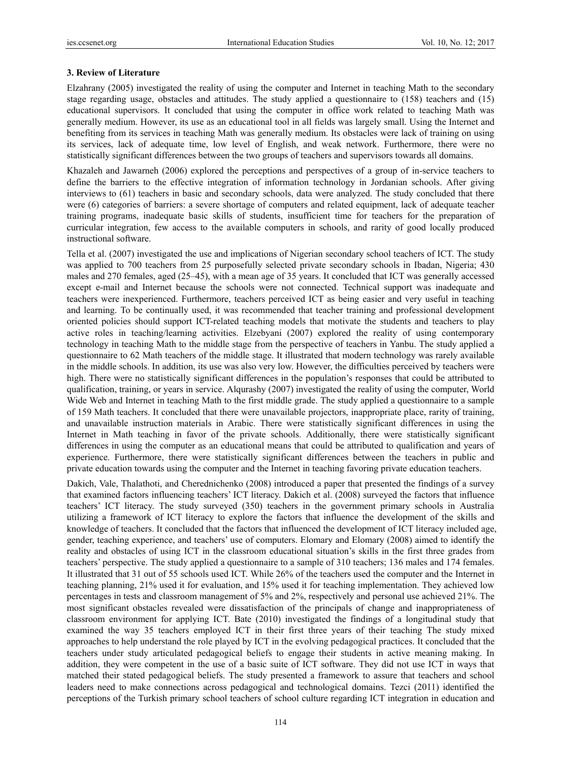## **3. Review of Literature**

Elzahrany (2005) investigated the reality of using the computer and Internet in teaching Math to the secondary stage regarding usage, obstacles and attitudes. The study applied a questionnaire to (158) teachers and (15) educational supervisors. It concluded that using the computer in office work related to teaching Math was generally medium. However, its use as an educational tool in all fields was largely small. Using the Internet and benefiting from its services in teaching Math was generally medium. Its obstacles were lack of training on using its services, lack of adequate time, low level of English, and weak network. Furthermore, there were no statistically significant differences between the two groups of teachers and supervisors towards all domains.

Khazaleh and Jawarneh (2006) explored the perceptions and perspectives of a group of in-service teachers to define the barriers to the effective integration of information technology in Jordanian schools. After giving interviews to (61) teachers in basic and secondary schools, data were analyzed. The study concluded that there were (6) categories of barriers: a severe shortage of computers and related equipment, lack of adequate teacher training programs, inadequate basic skills of students, insufficient time for teachers for the preparation of curricular integration, few access to the available computers in schools, and rarity of good locally produced instructional software.

Tella et al. (2007) investigated the use and implications of Nigerian secondary school teachers of ICT. The study was applied to 700 teachers from 25 purposefully selected private secondary schools in Ibadan, Nigeria; 430 males and 270 females, aged (25–45), with a mean age of 35 years. It concluded that ICT was generally accessed except e-mail and Internet because the schools were not connected. Technical support was inadequate and teachers were inexperienced. Furthermore, teachers perceived ICT as being easier and very useful in teaching and learning. To be continually used, it was recommended that teacher training and professional development oriented policies should support ICT-related teaching models that motivate the students and teachers to play active roles in teaching/learning activities. Elzebyani (2007) explored the reality of using contemporary technology in teaching Math to the middle stage from the perspective of teachers in Yanbu. The study applied a questionnaire to 62 Math teachers of the middle stage. It illustrated that modern technology was rarely available in the middle schools. In addition, its use was also very low. However, the difficulties perceived by teachers were high. There were no statistically significant differences in the population's responses that could be attributed to qualification, training, or years in service. Alqurashy (2007) investigated the reality of using the computer, World Wide Web and Internet in teaching Math to the first middle grade. The study applied a questionnaire to a sample of 159 Math teachers. It concluded that there were unavailable projectors, inappropriate place, rarity of training, and unavailable instruction materials in Arabic. There were statistically significant differences in using the Internet in Math teaching in favor of the private schools. Additionally, there were statistically significant differences in using the computer as an educational means that could be attributed to qualification and years of experience. Furthermore, there were statistically significant differences between the teachers in public and private education towards using the computer and the Internet in teaching favoring private education teachers.

Dakich, Vale, Thalathoti, and Cherednichenko (2008) introduced a paper that presented the findings of a survey that examined factors influencing teachers' ICT literacy. Dakich et al. (2008) surveyed the factors that influence teachers' ICT literacy. The study surveyed (350) teachers in the government primary schools in Australia utilizing a framework of ICT literacy to explore the factors that influence the development of the skills and knowledge of teachers. It concluded that the factors that influenced the development of ICT literacy included age, gender, teaching experience, and teachers' use of computers. Elomary and Elomary (2008) aimed to identify the reality and obstacles of using ICT in the classroom educational situation's skills in the first three grades from teachers' perspective. The study applied a questionnaire to a sample of 310 teachers; 136 males and 174 females. It illustrated that 31 out of 55 schools used ICT. While 26% of the teachers used the computer and the Internet in teaching planning, 21% used it for evaluation, and 15% used it for teaching implementation. They achieved low percentages in tests and classroom management of 5% and 2%, respectively and personal use achieved 21%. The most significant obstacles revealed were dissatisfaction of the principals of change and inappropriateness of classroom environment for applying ICT. Bate (2010) investigated the findings of a longitudinal study that examined the way 35 teachers employed ICT in their first three years of their teaching The study mixed approaches to help understand the role played by ICT in the evolving pedagogical practices. It concluded that the teachers under study articulated pedagogical beliefs to engage their students in active meaning making. In addition, they were competent in the use of a basic suite of ICT software. They did not use ICT in ways that matched their stated pedagogical beliefs. The study presented a framework to assure that teachers and school leaders need to make connections across pedagogical and technological domains. Tezci (2011) identified the perceptions of the Turkish primary school teachers of school culture regarding ICT integration in education and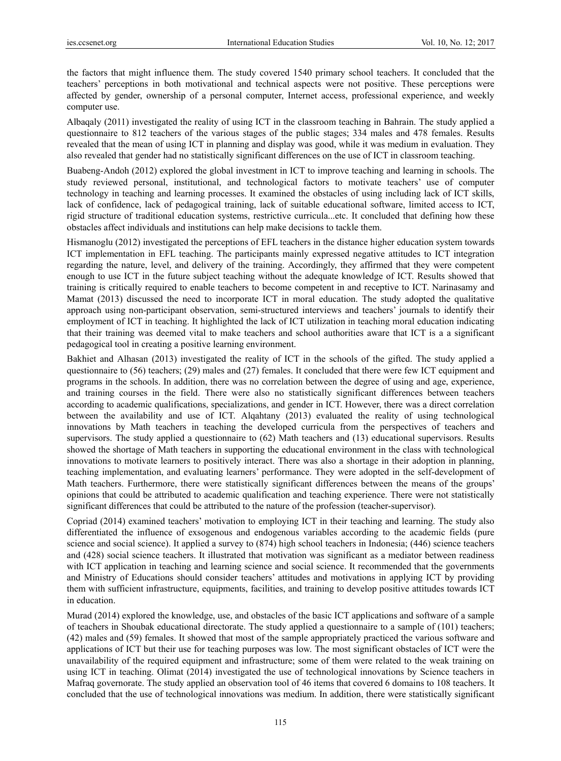the factors that might influence them. The study covered 1540 primary school teachers. It concluded that the teachers' perceptions in both motivational and technical aspects were not positive. These perceptions were affected by gender, ownership of a personal computer, Internet access, professional experience, and weekly computer use.

Albaqaly (2011) investigated the reality of using ICT in the classroom teaching in Bahrain. The study applied a questionnaire to 812 teachers of the various stages of the public stages; 334 males and 478 females. Results revealed that the mean of using ICT in planning and display was good, while it was medium in evaluation. They also revealed that gender had no statistically significant differences on the use of ICT in classroom teaching.

Buabeng-Andoh (2012) explored the global investment in ICT to improve teaching and learning in schools. The study reviewed personal, institutional, and technological factors to motivate teachers' use of computer technology in teaching and learning processes. It examined the obstacles of using including lack of ICT skills, lack of confidence, lack of pedagogical training, lack of suitable educational software, limited access to ICT, rigid structure of traditional education systems, restrictive curricula...etc. It concluded that defining how these obstacles affect individuals and institutions can help make decisions to tackle them.

Hismanoglu (2012) investigated the perceptions of EFL teachers in the distance higher education system towards ICT implementation in EFL teaching. The participants mainly expressed negative attitudes to ICT integration regarding the nature, level, and delivery of the training. Accordingly, they affirmed that they were competent enough to use ICT in the future subject teaching without the adequate knowledge of ICT. Results showed that training is critically required to enable teachers to become competent in and receptive to ICT. Narinasamy and Mamat (2013) discussed the need to incorporate ICT in moral education. The study adopted the qualitative approach using non-participant observation, semi-structured interviews and teachers' journals to identify their employment of ICT in teaching. It highlighted the lack of ICT utilization in teaching moral education indicating that their training was deemed vital to make teachers and school authorities aware that ICT is a a significant pedagogical tool in creating a positive learning environment.

Bakhiet and Alhasan (2013) investigated the reality of ICT in the schools of the gifted. The study applied a questionnaire to (56) teachers; (29) males and (27) females. It concluded that there were few ICT equipment and programs in the schools. In addition, there was no correlation between the degree of using and age, experience, and training courses in the field. There were also no statistically significant differences between teachers according to academic qualifications, specializations, and gender in ICT. However, there was a direct correlation between the availability and use of ICT. Alqahtany (2013) evaluated the reality of using technological innovations by Math teachers in teaching the developed curricula from the perspectives of teachers and supervisors. The study applied a questionnaire to (62) Math teachers and (13) educational supervisors. Results showed the shortage of Math teachers in supporting the educational environment in the class with technological innovations to motivate learners to positively interact. There was also a shortage in their adoption in planning, teaching implementation, and evaluating learners' performance. They were adopted in the self-development of Math teachers. Furthermore, there were statistically significant differences between the means of the groups' opinions that could be attributed to academic qualification and teaching experience. There were not statistically significant differences that could be attributed to the nature of the profession (teacher-supervisor).

Copriad (2014) examined teachers' motivation to employing ICT in their teaching and learning. The study also differentiated the influence of exsogenous and endogenous variables according to the academic fields (pure science and social science). It applied a survey to (874) high school teachers in Indonesia; (446) science teachers and (428) social science teachers. It illustrated that motivation was significant as a mediator between readiness with ICT application in teaching and learning science and social science. It recommended that the governments and Ministry of Educations should consider teachers' attitudes and motivations in applying ICT by providing them with sufficient infrastructure, equipments, facilities, and training to develop positive attitudes towards ICT in education.

Murad (2014) explored the knowledge, use, and obstacles of the basic ICT applications and software of a sample of teachers in Shoubak educational directorate. The study applied a questionnaire to a sample of (101) teachers; (42) males and (59) females. It showed that most of the sample appropriately practiced the various software and applications of ICT but their use for teaching purposes was low. The most significant obstacles of ICT were the unavailability of the required equipment and infrastructure; some of them were related to the weak training on using ICT in teaching. Olimat (2014) investigated the use of technological innovations by Science teachers in Mafraq governorate. The study applied an observation tool of 46 items that covered 6 domains to 108 teachers. It concluded that the use of technological innovations was medium. In addition, there were statistically significant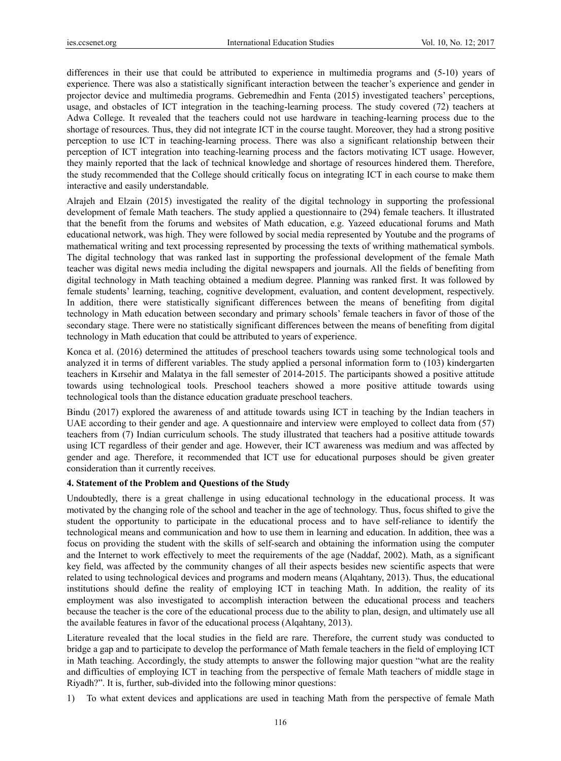differences in their use that could be attributed to experience in multimedia programs and (5-10) years of experience. There was also a statistically significant interaction between the teacher's experience and gender in projector device and multimedia programs. Gebremedhin and Fenta (2015) investigated teachers' perceptions, usage, and obstacles of ICT integration in the teaching-learning process. The study covered (72) teachers at Adwa College. It revealed that the teachers could not use hardware in teaching-learning process due to the shortage of resources. Thus, they did not integrate ICT in the course taught. Moreover, they had a strong positive perception to use ICT in teaching-learning process. There was also a significant relationship between their perception of ICT integration into teaching-learning process and the factors motivating ICT usage. However, they mainly reported that the lack of technical knowledge and shortage of resources hindered them. Therefore, the study recommended that the College should critically focus on integrating ICT in each course to make them interactive and easily understandable.

Alrajeh and Elzain (2015) investigated the reality of the digital technology in supporting the professional development of female Math teachers. The study applied a questionnaire to (294) female teachers. It illustrated that the benefit from the forums and websites of Math education, e.g. Yazeed educational forums and Math educational network, was high. They were followed by social media represented by Youtube and the programs of mathematical writing and text processing represented by processing the texts of writhing mathematical symbols. The digital technology that was ranked last in supporting the professional development of the female Math teacher was digital news media including the digital newspapers and journals. All the fields of benefiting from digital technology in Math teaching obtained a medium degree. Planning was ranked first. It was followed by female students' learning, teaching, cognitive development, evaluation, and content development, respectively. In addition, there were statistically significant differences between the means of benefiting from digital technology in Math education between secondary and primary schools' female teachers in favor of those of the secondary stage. There were no statistically significant differences between the means of benefiting from digital technology in Math education that could be attributed to years of experience.

Konca et al. (2016) determined the attitudes of preschool teachers towards using some technological tools and analyzed it in terms of different variables. The study applied a personal information form to (103) kindergarten teachers in Kırsehir and Malatya in the fall semester of 2014-2015. The participants showed a positive attitude towards using technological tools. Preschool teachers showed a more positive attitude towards using technological tools than the distance education graduate preschool teachers.

Bindu (2017) explored the awareness of and attitude towards using ICT in teaching by the Indian teachers in UAE according to their gender and age. A questionnaire and interview were employed to collect data from (57) teachers from (7) Indian curriculum schools. The study illustrated that teachers had a positive attitude towards using ICT regardless of their gender and age. However, their ICT awareness was medium and was affected by gender and age. Therefore, it recommended that ICT use for educational purposes should be given greater consideration than it currently receives.

## **4. Statement of the Problem and Questions of the Study**

Undoubtedly, there is a great challenge in using educational technology in the educational process. It was motivated by the changing role of the school and teacher in the age of technology. Thus, focus shifted to give the student the opportunity to participate in the educational process and to have self-reliance to identify the technological means and communication and how to use them in learning and education. In addition, thee was a focus on providing the student with the skills of self-search and obtaining the information using the computer and the Internet to work effectively to meet the requirements of the age (Naddaf, 2002). Math, as a significant key field, was affected by the community changes of all their aspects besides new scientific aspects that were related to using technological devices and programs and modern means (Alqahtany, 2013). Thus, the educational institutions should define the reality of employing ICT in teaching Math. In addition, the reality of its employment was also investigated to accomplish interaction between the educational process and teachers because the teacher is the core of the educational process due to the ability to plan, design, and ultimately use all the available features in favor of the educational process (Alqahtany, 2013).

Literature revealed that the local studies in the field are rare. Therefore, the current study was conducted to bridge a gap and to participate to develop the performance of Math female teachers in the field of employing ICT in Math teaching. Accordingly, the study attempts to answer the following major question "what are the reality and difficulties of employing ICT in teaching from the perspective of female Math teachers of middle stage in Riyadh?". It is, further, sub-divided into the following minor questions:

1) To what extent devices and applications are used in teaching Math from the perspective of female Math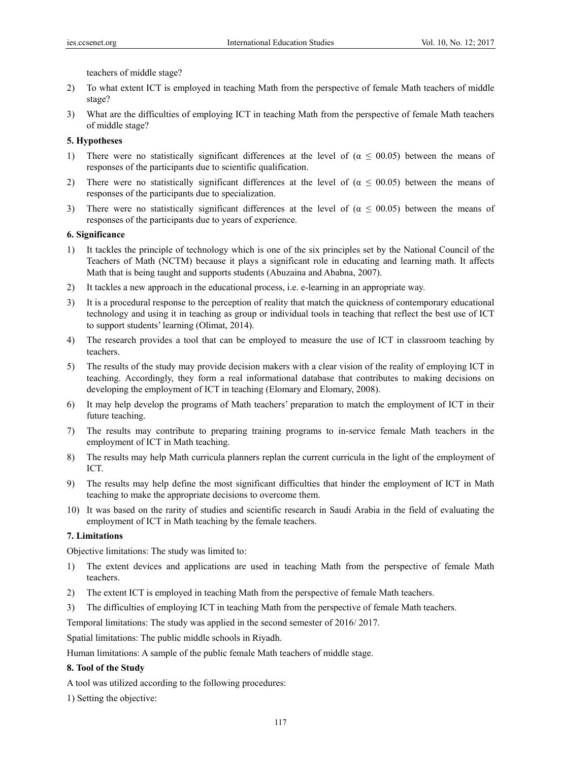teachers of middle stage?

- 2) To what extent ICT is employed in teaching Math from the perspective of female Math teachers of middle stage?
- 3) What are the difficulties of employing ICT in teaching Math from the perspective of female Math teachers of middle stage?

## **5. Hypotheses**

- 1) There were no statistically significant differences at the level of ( $\alpha \le 00.05$ ) between the means of responses of the participants due to scientific qualification.
- 2) There were no statistically significant differences at the level of ( $\alpha \le 00.05$ ) between the means of responses of the participants due to specialization.
- 3) There were no statistically significant differences at the level of ( $\alpha \le 00.05$ ) between the means of responses of the participants due to years of experience.

# **6. Significance**

- 1) It tackles the principle of technology which is one of the six principles set by the National Council of the Teachers of Math (NCTM) because it plays a significant role in educating and learning math. It affects Math that is being taught and supports students (Abuzaina and Ababna, 2007).
- 2) It tackles a new approach in the educational process, i.e. e-learning in an appropriate way.
- 3) It is a procedural response to the perception of reality that match the quickness of contemporary educational technology and using it in teaching as group or individual tools in teaching that reflect the best use of ICT to support students' learning (Olimat, 2014).
- 4) The research provides a tool that can be employed to measure the use of ICT in classroom teaching by teachers.
- 5) The results of the study may provide decision makers with a clear vision of the reality of employing ICT in teaching. Accordingly, they form a real informational database that contributes to making decisions on developing the employment of ICT in teaching (Elomary and Elomary, 2008).
- 6) It may help develop the programs of Math teachers' preparation to match the employment of ICT in their future teaching.
- 7) The results may contribute to preparing training programs to in-service female Math teachers in the employment of ICT in Math teaching.
- 8) The results may help Math curricula planners replan the current curricula in the light of the employment of ICT.
- 9) The results may help define the most significant difficulties that hinder the employment of ICT in Math teaching to make the appropriate decisions to overcome them.
- 10) It was based on the rarity of studies and scientific research in Saudi Arabia in the field of evaluating the employment of ICT in Math teaching by the female teachers.

## **7. Limitations**

Objective limitations: The study was limited to:

- 1) The extent devices and applications are used in teaching Math from the perspective of female Math teachers.
- 2) The extent ICT is employed in teaching Math from the perspective of female Math teachers.
- 3) The difficulties of employing ICT in teaching Math from the perspective of female Math teachers.

Temporal limitations: The study was applied in the second semester of 2016/ 2017.

Spatial limitations: The public middle schools in Riyadh.

Human limitations: A sample of the public female Math teachers of middle stage.

#### **8. Tool of the Study**

A tool was utilized according to the following procedures:

1) Setting the objective: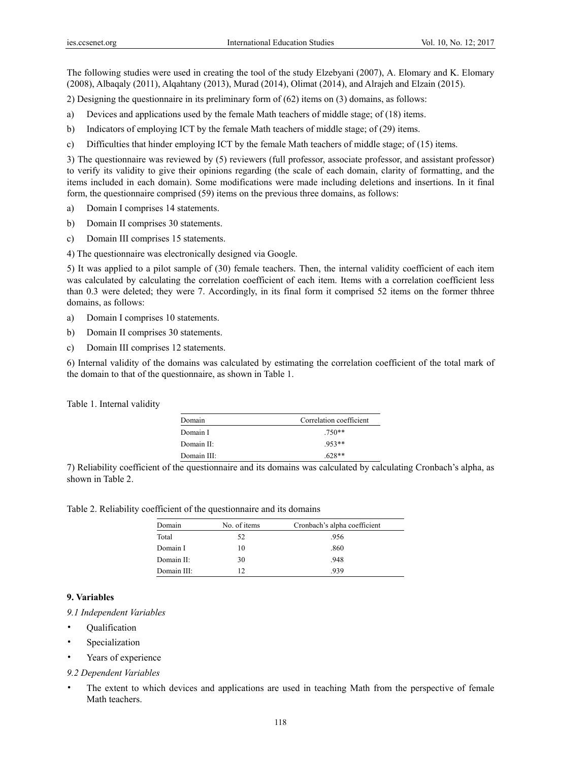The following studies were used in creating the tool of the study Elzebyani (2007), A. Elomary and K. Elomary (2008), Albaqaly (2011), Alqahtany (2013), Murad (2014), Olimat (2014), and Alrajeh and Elzain (2015).

2) Designing the questionnaire in its preliminary form of (62) items on (3) domains, as follows:

- a) Devices and applications used by the female Math teachers of middle stage; of (18) items.
- b) Indicators of employing ICT by the female Math teachers of middle stage; of (29) items.
- c) Difficulties that hinder employing ICT by the female Math teachers of middle stage; of (15) items.

3) The questionnaire was reviewed by (5) reviewers (full professor, associate professor, and assistant professor) to verify its validity to give their opinions regarding (the scale of each domain, clarity of formatting, and the items included in each domain). Some modifications were made including deletions and insertions. In it final form, the questionnaire comprised (59) items on the previous three domains, as follows:

- a) Domain I comprises 14 statements.
- b) Domain II comprises 30 statements.
- c) Domain III comprises 15 statements.
- 4) The questionnaire was electronically designed via Google.

5) It was applied to a pilot sample of (30) female teachers. Then, the internal validity coefficient of each item was calculated by calculating the correlation coefficient of each item. Items with a correlation coefficient less than 0.3 were deleted; they were 7. Accordingly, in its final form it comprised 52 items on the former thhree domains, as follows:

- a) Domain I comprises 10 statements.
- b) Domain II comprises 30 statements.
- c) Domain III comprises 12 statements.

6) Internal validity of the domains was calculated by estimating the correlation coefficient of the total mark of the domain to that of the questionnaire, as shown in Table 1.

Table 1. Internal validity

| Domain      | Correlation coefficient |
|-------------|-------------------------|
| Domain I    | $.750**$                |
| Domain II:  | $.953**$                |
| Domain III: | $.628**$                |

7) Reliability coefficient of the questionnaire and its domains was calculated by calculating Cronbach's alpha, as shown in Table 2.

Table 2. Reliability coefficient of the questionnaire and its domains

| Domain      | No. of items | Cronbach's alpha coefficient |
|-------------|--------------|------------------------------|
| Total       | 52           | .956                         |
| Domain I    | 10           | .860                         |
| Domain II:  | 30           | .948                         |
| Domain III: | 12           | 939                          |

# **9. Variables**

*9.1 Independent Variables*

- Qualification
- **Specialization**
- Years of experience
- *9.2 Dependent Variables*
- The extent to which devices and applications are used in teaching Math from the perspective of female Math teachers.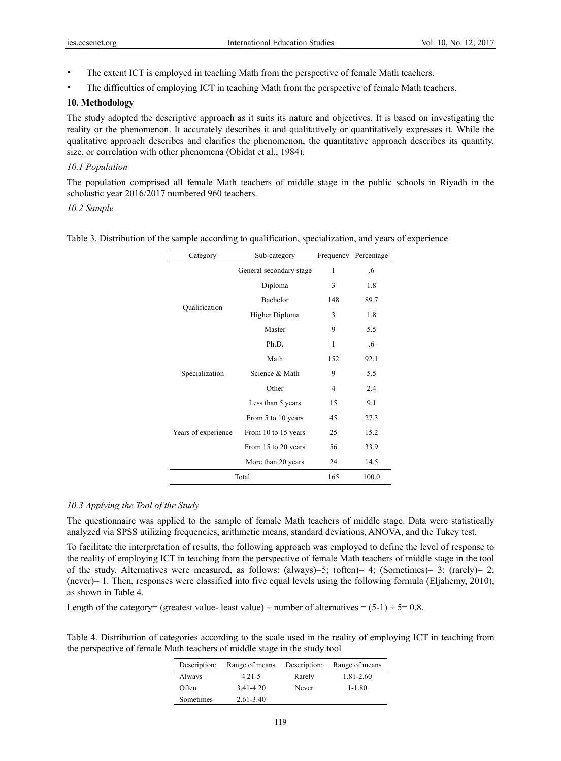- The extent ICT is employed in teaching Math from the perspective of female Math teachers.
- The difficulties of employing ICT in teaching Math from the perspective of female Math teachers.

## **10. Methodology**

The study adopted the descriptive approach as it suits its nature and objectives. It is based on investigating the reality or the phenomenon. It accurately describes it and qualitatively or quantitatively expresses it. While the qualitative approach describes and clarifies the phenomenon, the quantitative approach describes its quantity, size, or correlation with other phenomena (Obidat et al., 1984).

# *10.1 Population*

The population comprised all female Math teachers of middle stage in the public schools in Riyadh in the scholastic year 2016/2017 numbered 960 teachers.

# *10.2 Sample*

Table 3. Distribution of the sample according to qualification, specialization, and years of experience

| Category            | Sub-category            |     | Frequency Percentage |  |
|---------------------|-------------------------|-----|----------------------|--|
|                     | General secondary stage | 1   | .6                   |  |
|                     | Diploma                 | 3   | 1.8                  |  |
| Qualification       | Bachelor                | 148 | 89.7                 |  |
|                     | Higher Diploma          | 3   | 1.8                  |  |
|                     | Master                  | 9   | 5.5                  |  |
|                     | Ph.D.                   | 1   | .6                   |  |
|                     | Math                    | 152 | 92.1                 |  |
| Specialization      | Science & Math          | 9   | 5.5                  |  |
|                     | Other                   | 4   | 2.4                  |  |
|                     | Less than 5 years       | 15  | 9.1                  |  |
|                     | From 5 to 10 years      | 45  | 27.3                 |  |
| Years of experience | From 10 to 15 years     | 25  | 15.2                 |  |
|                     | From 15 to 20 years     | 56  | 33.9                 |  |
|                     | More than 20 years      | 24  | 14.5                 |  |
|                     | Total                   |     |                      |  |

# *10.3 Applying the Tool of the Study*

The questionnaire was applied to the sample of female Math teachers of middle stage. Data were statistically analyzed via SPSS utilizing frequencies, arithmetic means, standard deviations, ANOVA, and the Tukey test.

To facilitate the interpretation of results, the following approach was employed to define the level of response to the reality of employing ICT in teaching from the perspective of female Math teachers of middle stage in the tool of the study. Alternatives were measured, as follows: (always)=5; (often)= 4; (Sometimes)= 3; (rarely)= 2; (never)= 1. Then, responses were classified into five equal levels using the following formula (Eljahemy, 2010), as shown in Table 4.

Length of the category= (greatest value- least value) ÷ number of alternatives =  $(5-1) \div 5 = 0.8$ .

Table 4. Distribution of categories according to the scale used in the reality of employing ICT in teaching from the perspective of female Math teachers of middle stage in the study tool

| Description: | Range of means | Description: | Range of means |
|--------------|----------------|--------------|----------------|
| Always       | $4.21 - 5$     | Rarely       | $1.81 - 2.60$  |
| Often        | $3.41 - 4.20$  | Never        | $1 - 1.80$     |
| Sometimes    | $2.61 - 3.40$  |              |                |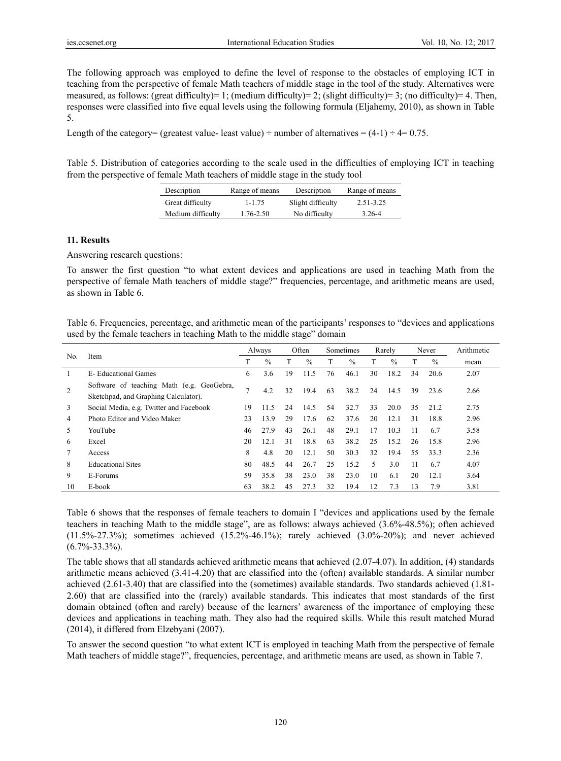The following approach was employed to define the level of response to the obstacles of employing ICT in teaching from the perspective of female Math teachers of middle stage in the tool of the study. Alternatives were measured, as follows: (great difficulty)= 1; (medium difficulty)= 2; (slight difficulty)= 3; (no difficulty)= 4. Then, responses were classified into five equal levels using the following formula (Eljahemy, 2010), as shown in Table 5.

```
Length of the category= (greatest value-least value) ÷ number of alternatives = (4-1) \div 4 = 0.75.
```
Table 5. Distribution of categories according to the scale used in the difficulties of employing ICT in teaching from the perspective of female Math teachers of middle stage in the study tool

| Description       | Range of means | Description       | Range of means |
|-------------------|----------------|-------------------|----------------|
| Great difficulty  | $1 - 1.75$     | Slight difficulty | 2.51-3.25      |
| Medium difficulty | 1.76-2.50      | No difficulty     | $3.26 - 4$     |

## **11. Results**

Answering research questions:

To answer the first question "to what extent devices and applications are used in teaching Math from the perspective of female Math teachers of middle stage?" frequencies, percentage, and arithmetic means are used, as shown in Table 6.

Table 6. Frequencies, percentage, and arithmetic mean of the participants' responses to "devices and applications used by the female teachers in teaching Math to the middle stage" domain

|     | Item                                      |                | Always        |    | Often | Sometimes |      | Rarely |               | Never |               | Arithmetic |
|-----|-------------------------------------------|----------------|---------------|----|-------|-----------|------|--------|---------------|-------|---------------|------------|
| No. |                                           |                | $\frac{0}{0}$ |    | $\%$  |           | $\%$ |        | $\frac{0}{0}$ | T     | $\frac{0}{0}$ | mean       |
|     | <b>E</b> - Educational Games              | 6              | 3.6           | 19 | 11.5  | 76        | 46.1 | 30     | 18.2          | 34    | 20.6          | 2.07       |
| 2   | Software of teaching Math (e.g. GeoGebra, | $\overline{7}$ |               | 32 | 19.4  | 63        | 38.2 | 24     |               | 39    | 23.6          |            |
|     | Sketchpad, and Graphing Calculator).      |                | 4.2           |    |       |           |      |        | 14.5          |       |               | 2.66       |
| 3   | Social Media, e.g. Twitter and Facebook   | 19             | 11.5          | 24 | 14.5  | 54        | 32.7 | 33     | 20.0          | 35    | 21.2          | 2.75       |
| 4   | Photo Editor and Video Maker              | 23             | 13.9          | 29 | 17.6  | 62        | 37.6 | 20     | 12.1          | 31    | 18.8          | 2.96       |
| 5   | YouTube                                   | 46             | 27.9          | 43 | 26.1  | 48        | 29.1 | 17     | 10.3          | 11    | 6.7           | 3.58       |
| 6   | Excel                                     | 20             | 12.1          | 31 | 18.8  | 63        | 38.2 | 25     | 15.2          | 26    | 15.8          | 2.96       |
|     | Access                                    | 8              | 4.8           | 20 | 12.1  | 50        | 30.3 | 32     | 19.4          | 55    | 33.3          | 2.36       |
| 8   | <b>Educational Sites</b>                  | 80             | 48.5          | 44 | 26.7  | 25        | 15.2 | 5      | 3.0           | 11    | 6.7           | 4.07       |
| 9   | E-Forums                                  | 59             | 35.8          | 38 | 23.0  | 38        | 23.0 | 10     | 6.1           | 20    | 12.1          | 3.64       |
| 10  | E-book                                    | 63             | 38.2          | 45 | 27.3  | 32        | 19.4 | 12     | 7.3           | 13    | 7.9           | 3.81       |

Table 6 shows that the responses of female teachers to domain I "devices and applications used by the female teachers in teaching Math to the middle stage", are as follows: always achieved (3.6%-48.5%); often achieved (11.5%-27.3%); sometimes achieved (15.2%-46.1%); rarely achieved (3.0%-20%); and never achieved  $(6.7\% - 33.3\%)$ .

The table shows that all standards achieved arithmetic means that achieved (2.07-4.07). In addition, (4) standards arithmetic means achieved (3.41-4.20) that are classified into the (often) available standards. A similar number achieved (2.61-3.40) that are classified into the (sometimes) available standards. Two standards achieved (1.81- 2.60) that are classified into the (rarely) available standards. This indicates that most standards of the first domain obtained (often and rarely) because of the learners' awareness of the importance of employing these devices and applications in teaching math. They also had the required skills. While this result matched Murad (2014), it differed from Elzebyani (2007).

To answer the second question "to what extent ICT is employed in teaching Math from the perspective of female Math teachers of middle stage?", frequencies, percentage, and arithmetic means are used, as shown in Table 7.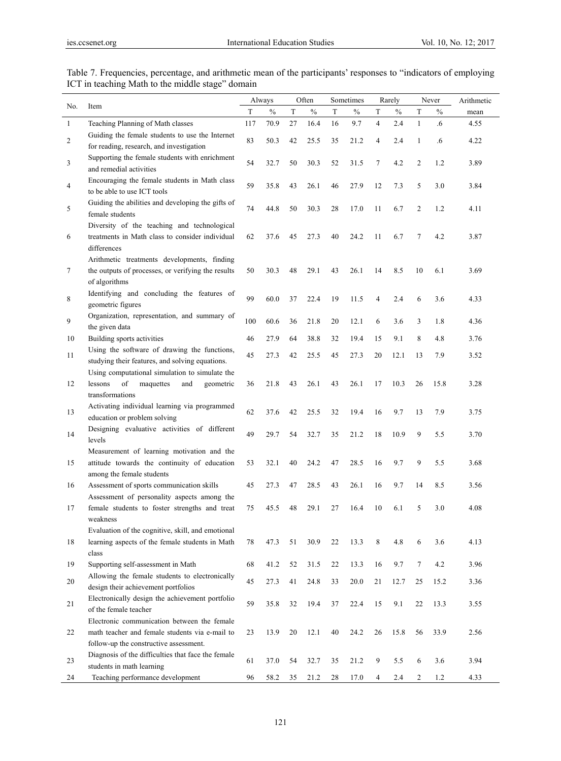|                |                                                                                                                                         |     | Always |             | Often |    | Sometimes |                | Rarely        |              | Never         | Arithmetic |
|----------------|-----------------------------------------------------------------------------------------------------------------------------------------|-----|--------|-------------|-------|----|-----------|----------------|---------------|--------------|---------------|------------|
| No.            | Item                                                                                                                                    | T   | $\%$   | $\mathbf T$ | $\%$  | T  | $\%$      | T              | $\frac{0}{0}$ | T            | $\frac{0}{0}$ | mean       |
| $\mathbf{1}$   | Teaching Planning of Math classes                                                                                                       | 117 | 70.9   | 27          | 16.4  | 16 | 9.7       | $\overline{4}$ | 2.4           | $\mathbf{1}$ | .6            | 4.55       |
| $\overline{c}$ | Guiding the female students to use the Internet<br>for reading, research, and investigation                                             | 83  | 50.3   | 42          | 25.5  | 35 | 21.2      | 4              | 2.4           | $\mathbf{1}$ | .6            | 4.22       |
| 3              | Supporting the female students with enrichment<br>and remedial activities                                                               | 54  | 32.7   | 50          | 30.3  | 52 | 31.5      | 7              | 4.2           | 2            | 1.2           | 3.89       |
| 4              | Encouraging the female students in Math class<br>to be able to use ICT tools                                                            | 59  | 35.8   | 43          | 26.1  | 46 | 27.9      | 12             | 7.3           | 5            | 3.0           | 3.84       |
| 5              | Guiding the abilities and developing the gifts of<br>female students                                                                    | 74  | 44.8   | 50          | 30.3  | 28 | 17.0      | 11             | 6.7           | 2            | 1.2           | 4.11       |
| 6              | Diversity of the teaching and technological<br>treatments in Math class to consider individual<br>differences                           | 62  | 37.6   | 45          | 27.3  | 40 | 24.2      | 11             | 6.7           | 7            | 4.2           | 3.87       |
| 7              | Arithmetic treatments developments, finding<br>the outputs of processes, or verifying the results<br>of algorithms                      | 50  | 30.3   | 48          | 29.1  | 43 | 26.1      | 14             | 8.5           | 10           | 6.1           | 3.69       |
| 8              | Identifying and concluding the features of<br>geometric figures                                                                         | 99  | 60.0   | 37          | 22.4  | 19 | 11.5      | 4              | 2.4           | 6            | 3.6           | 4.33       |
| 9              | Organization, representation, and summary of<br>the given data                                                                          | 100 | 60.6   | 36          | 21.8  | 20 | 12.1      | 6              | 3.6           | 3            | 1.8           | 4.36       |
| 10             | Building sports activities                                                                                                              | 46  | 27.9   | 64          | 38.8  | 32 | 19.4      | 15             | 9.1           | 8            | 4.8           | 3.76       |
| 11             | Using the software of drawing the functions,<br>studying their features, and solving equations.                                         | 45  | 27.3   | 42          | 25.5  | 45 | 27.3      | 20             | 12.1          | 13           | 7.9           | 3.52       |
| 12             | Using computational simulation to simulate the<br>lessons<br>of<br>maquettes<br>and<br>geometric<br>transformations                     | 36  | 21.8   | 43          | 26.1  | 43 | 26.1      | 17             | 10.3          | 26           | 15.8          | 3.28       |
| 13             | Activating individual learning via programmed<br>education or problem solving                                                           | 62  | 37.6   | 42          | 25.5  | 32 | 19.4      | 16             | 9.7           | 13           | 7.9           | 3.75       |
| 14             | Designing evaluative activities of different<br>levels                                                                                  | 49  | 29.7   | 54          | 32.7  | 35 | 21.2      | 18             | 10.9          | 9            | 5.5           | 3.70       |
|                | Measurement of learning motivation and the                                                                                              |     |        |             |       |    |           |                |               |              |               |            |
| 15             | attitude towards the continuity of education<br>among the female students                                                               | 53  | 32.1   | 40          | 24.2  | 47 | 28.5      | 16             | 9.7           | 9            | 5.5           | 3.68       |
| 16             | Assessment of sports communication skills<br>Assessment of personality aspects among the                                                | 45  | 27.3   | 47          | 28.5  | 43 | 26.1      | 16             | 9.7           | 14           | 8.5           | 3.56       |
| 17             | female students to foster strengths and treat<br>weakness                                                                               | 75  | 45.5   | 48          | 29.1  | 27 | 16.4      | 10             | 6.1           | 5            | 3.0           | 4.08       |
|                | Evaluation of the cognitive, skill, and emotional                                                                                       |     |        |             |       |    |           |                |               |              |               |            |
| 18             | learning aspects of the female students in Math<br>class                                                                                | 78  | 47.3   | 51          | 30.9  | 22 | 13.3      | 8              | 4.8           | 6            | 3.6           | 4.13       |
| 19             | Supporting self-assessment in Math                                                                                                      | 68  | 41.2   | 52          | 31.5  | 22 | 13.3      | 16             | 9.7           | 7            | 4.2           | 3.96       |
| 20             | Allowing the female students to electronically<br>design their achievement portfolios                                                   | 45  | 27.3   | 41          | 24.8  | 33 | 20.0      | 21             | 12.7          | 25           | 15.2          | 3.36       |
| 21             | Electronically design the achievement portfolio<br>of the female teacher                                                                | 59  | 35.8   | 32          | 19.4  | 37 | 22.4      | 15             | 9.1           | 22           | 13.3          | 3.55       |
| 22             | Electronic communication between the female<br>math teacher and female students via e-mail to<br>follow-up the constructive assessment. | 23  | 13.9   | 20          | 12.1  | 40 | 24.2      | 26             | 15.8          | 56           | 33.9          | 2.56       |
| 23             | Diagnosis of the difficulties that face the female<br>students in math learning                                                         | 61  | 37.0   | 54          | 32.7  | 35 | 21.2      | 9              | 5.5           | 6            | 3.6           | 3.94       |
| 24             | Teaching performance development                                                                                                        | 96  | 58.2   | 35          | 21.2  | 28 | 17.0      | 4              | 2.4           | 2            | 1.2           | 4.33       |

Table 7. Frequencies, percentage, and arithmetic mean of the participants' responses to "indicators of employing ICT in teaching Math to the middle stage" domain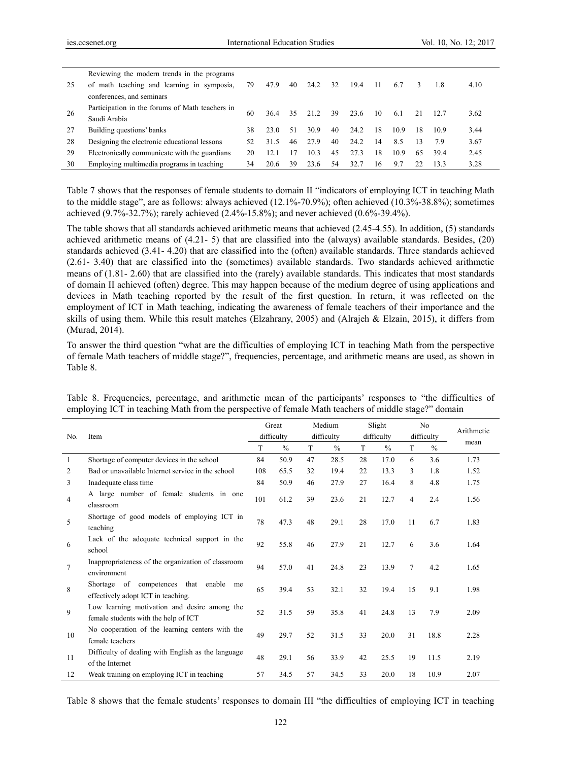|     | Reviewing the modern trends in the programs     |    |      |    |      |    |      |    |      |    |      |      |
|-----|-------------------------------------------------|----|------|----|------|----|------|----|------|----|------|------|
| -25 | of math teaching and learning in symposia,      | 79 | 47.9 | 40 | 24.2 | 32 | 19.4 | 11 | 67   |    | 1.8  | 4.10 |
|     | conferences, and seminars                       |    |      |    |      |    |      |    |      |    |      |      |
| 26  | Participation in the forums of Math teachers in | 60 | 36.4 | 35 | 21 2 | 39 | 23.6 | 10 | -61  | 21 | 12.7 | 3.62 |
|     | Saudi Arabia                                    |    |      |    |      |    |      |    |      |    |      |      |
| 27  | Building questions' banks                       | 38 | 23.0 | 51 | 30.9 | 40 | 24.2 | 18 | 10.9 | 18 | 10.9 | 3.44 |
| 28  | Designing the electronic educational lessons    | 52 | 31.5 | 46 | 27.9 | 40 | 24.2 | 14 | 8.5  | 13 | 79   | 3.67 |
| 29  | Electronically communicate with the guardians   | 20 |      |    | 10.3 | 45 | 27.3 | 18 | 10.9 | 65 | 394  | 2.45 |
| 30  | Employing multimedia programs in teaching       | 34 | 20.6 | 39 | 23.6 | 54 | 32.7 | 16 | 9.7  |    | 133  | 3.28 |

Table 7 shows that the responses of female students to domain II "indicators of employing ICT in teaching Math to the middle stage", are as follows: always achieved (12.1%-70.9%); often achieved (10.3%-38.8%); sometimes achieved  $(9.7\% - 32.7\%)$ ; rarely achieved  $(2.4\% - 15.8\%)$ ; and never achieved  $(0.6\% - 39.4\%)$ .

The table shows that all standards achieved arithmetic means that achieved (2.45-4.55). In addition, (5) standards achieved arithmetic means of (4.21- 5) that are classified into the (always) available standards. Besides, (20) standards achieved (3.41- 4.20) that are classified into the (often) available standards. Three standards achieved (2.61- 3.40) that are classified into the (sometimes) available standards. Two standards achieved arithmetic means of (1.81- 2.60) that are classified into the (rarely) available standards. This indicates that most standards of domain II achieved (often) degree. This may happen because of the medium degree of using applications and devices in Math teaching reported by the result of the first question. In return, it was reflected on the employment of ICT in Math teaching, indicating the awareness of female teachers of their importance and the skills of using them. While this result matches (Elzahrany, 2005) and (Alrajeh & Elzain, 2015), it differs from (Murad, 2014).

To answer the third question "what are the difficulties of employing ICT in teaching Math from the perspective of female Math teachers of middle stage?", frequencies, percentage, and arithmetic means are used, as shown in Table 8.

|                |                                                                                          |     | Great         |    | Medium        |    | Slight     | N <sub>0</sub> |            | Arithmetic |  |
|----------------|------------------------------------------------------------------------------------------|-----|---------------|----|---------------|----|------------|----------------|------------|------------|--|
| No.            | Item                                                                                     |     | difficulty    |    | difficulty    |    | difficulty |                | difficulty |            |  |
|                |                                                                                          | T   | $\frac{0}{0}$ | T  | $\frac{0}{0}$ | T  | $\%$       | T              | $\%$       | mean       |  |
| 1              | Shortage of computer devices in the school                                               | 84  | 50.9          | 47 | 28.5          | 28 | 17.0       | 6              | 3.6        | 1.73       |  |
| $\overline{c}$ | Bad or unavailable Internet service in the school                                        | 108 | 65.5          | 32 | 19.4          | 22 | 13.3       | 3              | 1.8        | 1.52       |  |
| 3              | Inadequate class time                                                                    | 84  | 50.9          | 46 | 27.9          | 27 | 16.4       | 8              | 4.8        | 1.75       |  |
| $\overline{4}$ | A large number of female students in one<br>classroom                                    | 101 | 61.2          | 39 | 23.6          | 21 | 12.7       | $\overline{4}$ | 2.4        | 1.56       |  |
| 5              | Shortage of good models of employing ICT in<br>teaching                                  | 78  | 47.3          | 48 | 29.1          | 28 | 17.0       | 11             | 6.7        | 1.83       |  |
| 6              | Lack of the adequate technical support in the<br>school                                  | 92  | 55.8          | 46 | 27.9          | 21 | 12.7       | 6              | 3.6        | 1.64       |  |
| $\overline{7}$ | Inappropriateness of the organization of classroom<br>environment                        | 94  | 57.0          | 41 | 24.8          | 23 | 13.9       | $\tau$         | 4.2        | 1.65       |  |
| 8              | of<br>competences that<br>Shortage<br>enable<br>me<br>effectively adopt ICT in teaching. | 65  | 39.4          | 53 | 32.1          | 32 | 19.4       | 15             | 9.1        | 1.98       |  |
| 9              | Low learning motivation and desire among the<br>female students with the help of ICT     | 52  | 31.5          | 59 | 35.8          | 41 | 24.8       | 13             | 7.9        | 2.09       |  |
| 10             | No cooperation of the learning centers with the<br>female teachers                       | 49  | 29.7          | 52 | 31.5          | 33 | 20.0       | 31             | 18.8       | 2.28       |  |
| 11             | Difficulty of dealing with English as the language<br>of the Internet                    | 48  | 29.1          | 56 | 33.9          | 42 | 25.5       | 19             | 11.5       | 2.19       |  |
| 12             | Weak training on employing ICT in teaching                                               | 57  | 34.5          | 57 | 34.5          | 33 | 20.0       | 18             | 10.9       | 2.07       |  |

Table 8. Frequencies, percentage, and arithmetic mean of the participants' responses to "the difficulties of employing ICT in teaching Math from the perspective of female Math teachers of middle stage?" domain

Table 8 shows that the female students' responses to domain III "the difficulties of employing ICT in teaching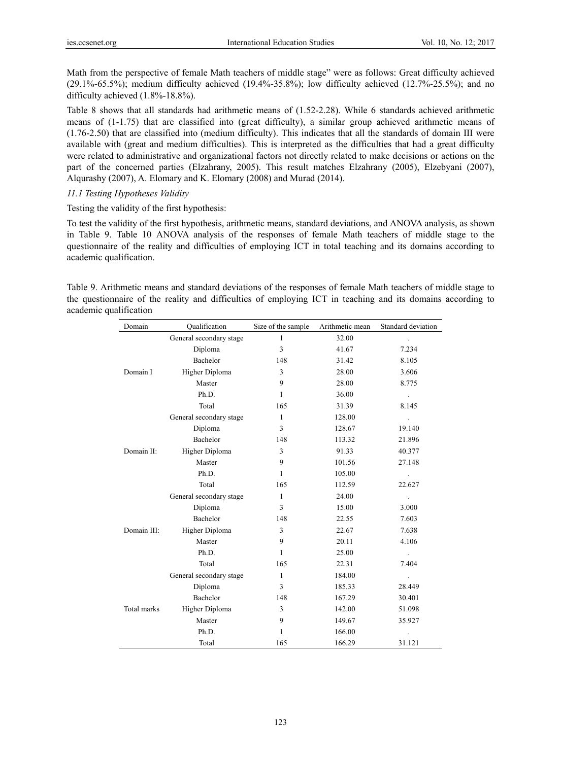Math from the perspective of female Math teachers of middle stage" were as follows: Great difficulty achieved (29.1%-65.5%); medium difficulty achieved (19.4%-35.8%); low difficulty achieved (12.7%-25.5%); and no difficulty achieved (1.8%-18.8%).

Table 8 shows that all standards had arithmetic means of (1.52-2.28). While 6 standards achieved arithmetic means of (1-1.75) that are classified into (great difficulty), a similar group achieved arithmetic means of (1.76-2.50) that are classified into (medium difficulty). This indicates that all the standards of domain III were available with (great and medium difficulties). This is interpreted as the difficulties that had a great difficulty were related to administrative and organizational factors not directly related to make decisions or actions on the part of the concerned parties (Elzahrany, 2005). This result matches Elzahrany (2005), Elzebyani (2007), Alqurashy (2007), A. Elomary and K. Elomary (2008) and Murad (2014).

# *11.1 Testing Hypotheses Validity*

Testing the validity of the first hypothesis:

To test the validity of the first hypothesis, arithmetic means, standard deviations, and ANOVA analysis, as shown in Table 9. Table 10 ANOVA analysis of the responses of female Math teachers of middle stage to the questionnaire of the reality and difficulties of employing ICT in total teaching and its domains according to academic qualification.

Table 9. Arithmetic means and standard deviations of the responses of female Math teachers of middle stage to the questionnaire of the reality and difficulties of employing ICT in teaching and its domains according to academic qualification

| Domain      | Qualification           | Size of the sample | Arithmetic mean | Standard deviation   |
|-------------|-------------------------|--------------------|-----------------|----------------------|
|             | General secondary stage | $\mathbf{1}$       | 32.00           |                      |
|             | Diploma                 | 3                  | 41.67           | 7.234                |
|             | Bachelor                | 148                | 31.42           | 8.105                |
| Domain I    | Higher Diploma          | 3                  | 28.00           | 3.606                |
|             | Master                  | 9                  | 28.00           | 8.775                |
|             | Ph.D.                   | $\mathbf{1}$       | 36.00           | $\cdot$              |
|             | Total                   | 165                | 31.39           | 8.145                |
|             | General secondary stage | 1                  | 128.00          |                      |
|             | Diploma                 | 3                  | 128.67          | 19.140               |
|             | Bachelor                | 148                | 113.32          | 21.896               |
| Domain II:  | Higher Diploma          | 3                  | 91.33           | 40.377               |
|             | Master                  | 9                  | 101.56          | 27.148               |
|             | Ph.D.                   | 1                  | 105.00          | $\ddot{\phantom{0}}$ |
|             | Total                   | 165                | 112.59          | 22.627               |
|             | General secondary stage | 1                  | 24.00           |                      |
|             | Diploma                 | 3                  | 15.00           | 3.000                |
|             | Bachelor                | 148                | 22.55           | 7.603                |
| Domain III: | Higher Diploma          | 3                  | 22.67           | 7.638                |
|             | Master                  | 9                  | 20.11           | 4.106                |
|             | Ph.D.                   | 1                  | 25.00           |                      |
|             | Total                   | 165                | 22.31           | 7.404                |
|             | General secondary stage | $\mathbf{1}$       | 184.00          |                      |
|             | Diploma                 | 3                  | 185.33          | 28.449               |
|             | Bachelor                | 148                | 167.29          | 30.401               |
| Total marks | Higher Diploma          | 3                  | 142.00          | 51.098               |
|             | Master                  | 9                  | 149.67          | 35.927               |
|             | Ph.D.                   | 1                  | 166.00          |                      |
|             | Total                   | 165                | 166.29          | 31.121               |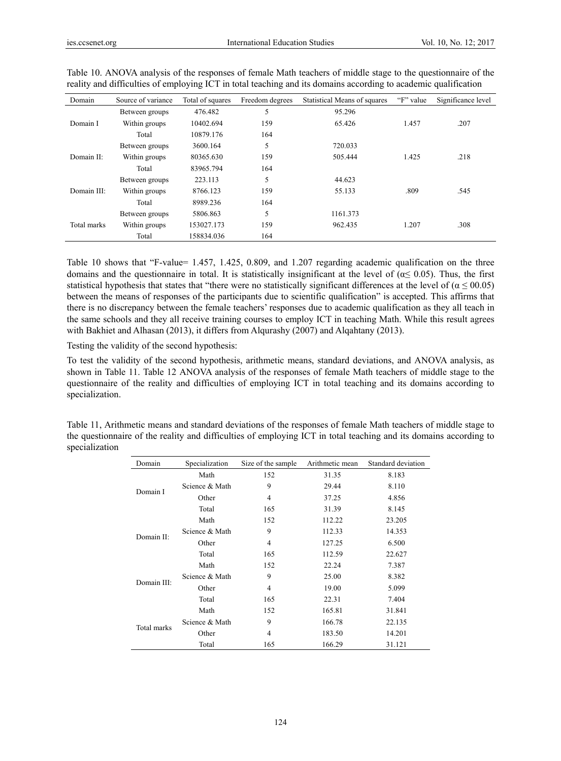| Domain      | Source of variance | Total of squares | Freedom degrees | Statistical Means of squares | "F" value | Significance level |
|-------------|--------------------|------------------|-----------------|------------------------------|-----------|--------------------|
|             | Between groups     | 476.482          | 5               | 95.296                       |           |                    |
| Domain I    | Within groups      | 10402.694        | 159             | 65.426                       | 1.457     | .207               |
|             | Total              | 10879.176        | 164             |                              |           |                    |
|             | Between groups     | 3600.164         | 5               | 720.033                      |           |                    |
| Domain II:  | Within groups      | 80365.630        | 159             | 505.444                      | 1.425     | .218               |
|             | Total              | 83965.794        | 164             |                              |           |                    |
|             | Between groups     | 223.113          | 5               | 44.623                       |           |                    |
| Domain III: | Within groups      | 8766.123         | 159             | 55.133                       | .809      | .545               |
|             | Total              | 8989.236         | 164             |                              |           |                    |
|             | Between groups     | 5806.863         | 5               | 1161.373                     |           |                    |
| Total marks | Within groups      | 153027.173       | 159             | 962.435                      | 1.207     | .308               |
|             | Total              | 158834.036       | 164             |                              |           |                    |

Table 10. ANOVA analysis of the responses of female Math teachers of middle stage to the questionnaire of the reality and difficulties of employing ICT in total teaching and its domains according to academic qualification

Table 10 shows that "F-value= 1.457, 1.425, 0.809, and 1.207 regarding academic qualification on the three domains and the questionnaire in total. It is statistically insignificant at the level of ( $\alpha \le 0.05$ ). Thus, the first statistical hypothesis that states that "there were no statistically significant differences at the level of ( $\alpha \le 00.05$ ) between the means of responses of the participants due to scientific qualification" is accepted. This affirms that there is no discrepancy between the female teachers' responses due to academic qualification as they all teach in the same schools and they all receive training courses to employ ICT in teaching Math. While this result agrees with Bakhiet and Alhasan (2013), it differs from Alqurashy (2007) and Alqahtany (2013).

Testing the validity of the second hypothesis:

To test the validity of the second hypothesis, arithmetic means, standard deviations, and ANOVA analysis, as shown in Table 11. Table 12 ANOVA analysis of the responses of female Math teachers of middle stage to the questionnaire of the reality and difficulties of employing ICT in total teaching and its domains according to specialization.

Table 11, Arithmetic means and standard deviations of the responses of female Math teachers of middle stage to the questionnaire of the reality and difficulties of employing ICT in total teaching and its domains according to specialization

| Domain      | Specialization | Size of the sample | Arithmetic mean | Standard deviation |
|-------------|----------------|--------------------|-----------------|--------------------|
|             | Math           | 152                | 31.35           | 8.183              |
|             | Science & Math | 9                  | 29.44           | 8.110              |
| Domain I    | Other          | 4                  | 37.25           | 4.856              |
|             | Total          | 165                | 31.39           | 8.145              |
| Domain II:  | Math           | 152                | 112.22          | 23.205             |
|             | Science & Math | 9                  | 112.33          | 14.353             |
|             | Other          | 4                  | 127.25          | 6.500              |
|             | Total          | 165                | 112.59          | 22.627             |
|             | Math           | 152                | 22.24           | 7.387              |
| Domain III: | Science & Math | 9                  | 25.00           | 8.382              |
|             | Other          | $\overline{4}$     | 19.00           | 5.099              |
|             | Total          | 165                | 22.31           | 7.404              |
|             | Math           | 152                | 165.81          | 31.841             |
|             | Science & Math | 9                  | 166.78          | 22.135             |
| Total marks | Other          | 4                  | 183.50          | 14.201             |
|             | Total          | 165                | 166.29          | 31.121             |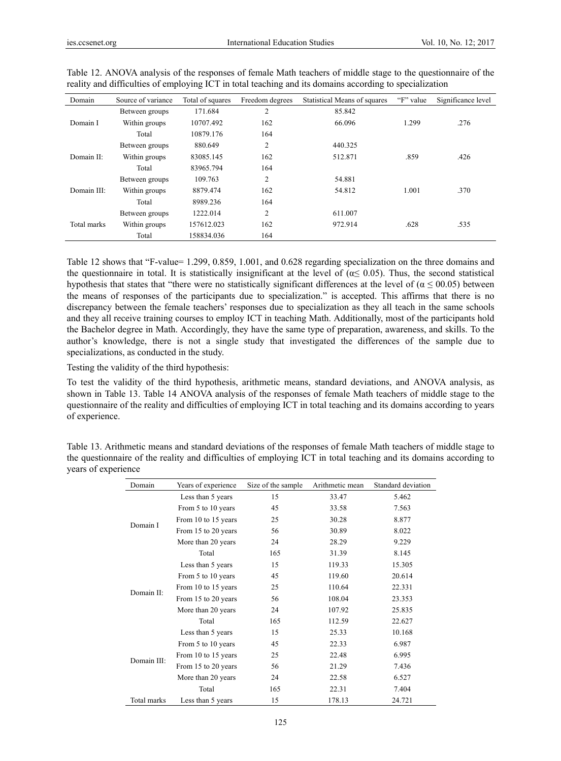| Domain      | Source of variance | Total of squares | Freedom degrees | Statistical Means of squares | "F" value | Significance level |
|-------------|--------------------|------------------|-----------------|------------------------------|-----------|--------------------|
| Domain I    | Between groups     | 171.684          | $\overline{c}$  | 85.842                       |           |                    |
|             | Within groups      | 10707.492        | 162             | 66.096                       | 1.299     | .276               |
|             | Total              | 10879.176        | 164             |                              |           |                    |
|             | Between groups     | 880.649          | 2               | 440.325                      |           |                    |
| Domain II:  | Within groups      | 83085.145        | 162             | 512.871                      | .859      | .426               |
|             | Total              | 83965.794        | 164             |                              |           |                    |
| Domain III: | Between groups     | 109.763          | $\overline{c}$  | 54.881                       |           |                    |
|             | Within groups      | 8879.474         | 162             | 54.812                       | 1.001     | .370               |
|             | Total              | 8989.236         | 164             |                              |           |                    |
| Total marks | Between groups     | 1222.014         | $\overline{c}$  | 611.007                      |           |                    |
|             | Within groups      | 157612.023       | 162             | 972.914                      | .628      | .535               |
|             | Total              | 158834.036       | 164             |                              |           |                    |

Table 12. ANOVA analysis of the responses of female Math teachers of middle stage to the questionnaire of the reality and difficulties of employing ICT in total teaching and its domains according to specialization

Table 12 shows that "F-value= 1.299, 0.859, 1.001, and 0.628 regarding specialization on the three domains and the questionnaire in total. It is statistically insignificant at the level of ( $\alpha \le 0.05$ ). Thus, the second statistical hypothesis that states that "there were no statistically significant differences at the level of ( $\alpha \le 00.05$ ) between the means of responses of the participants due to specialization." is accepted. This affirms that there is no discrepancy between the female teachers' responses due to specialization as they all teach in the same schools and they all receive training courses to employ ICT in teaching Math. Additionally, most of the participants hold the Bachelor degree in Math. Accordingly, they have the same type of preparation, awareness, and skills. To the author's knowledge, there is not a single study that investigated the differences of the sample due to specializations, as conducted in the study.

Testing the validity of the third hypothesis:

To test the validity of the third hypothesis, arithmetic means, standard deviations, and ANOVA analysis, as shown in Table 13. Table 14 ANOVA analysis of the responses of female Math teachers of middle stage to the questionnaire of the reality and difficulties of employing ICT in total teaching and its domains according to years of experience.

Table 13. Arithmetic means and standard deviations of the responses of female Math teachers of middle stage to the questionnaire of the reality and difficulties of employing ICT in total teaching and its domains according to years of experience

| Domain      | Years of experience                                                                                                                                | Size of the sample | Arithmetic mean | Standard deviation |
|-------------|----------------------------------------------------------------------------------------------------------------------------------------------------|--------------------|-----------------|--------------------|
|             | Less than 5 years                                                                                                                                  | 15                 | 33.47           | 5.462              |
|             | From 5 to 10 years                                                                                                                                 | 45                 | 33.58           | 7.563              |
| Domain I    | From 10 to 15 years                                                                                                                                | 25                 | 30.28           | 8.877              |
|             | From 15 to 20 years                                                                                                                                | 56                 | 30.89           | 8.022              |
|             | More than 20 years                                                                                                                                 | 24                 | 28.29           | 9.229              |
|             | Total                                                                                                                                              | 165                | 31.39           | 8.145              |
|             | Less than 5 years                                                                                                                                  | 15                 | 119.33          | 15.305             |
|             | From 5 to 10 years                                                                                                                                 | 45                 | 119.60          | 20.614             |
| Domain II:  | From 10 to 15 years                                                                                                                                | 25                 | 110.64          | 22.331             |
|             | From 15 to 20 years                                                                                                                                | 56                 | 108.04          | 23.353             |
|             | More than 20 years                                                                                                                                 | 24                 | 107.92          | 25.835             |
|             | Total<br>Less than 5 years<br>From 5 to 10 years<br>From 10 to 15 years<br>From 15 to 20 years<br>More than 20 years<br>Total<br>Less than 5 years | 165                | 112.59          | 22.627             |
|             |                                                                                                                                                    | 15                 | 25.33           | 10.168             |
|             |                                                                                                                                                    | 45                 | 22.33           | 6.987              |
| Domain III: |                                                                                                                                                    | 25                 | 22.48           | 6.995              |
|             |                                                                                                                                                    | 56                 | 21.29           | 7.436              |
|             |                                                                                                                                                    | 24                 | 22.58           | 6.527              |
|             |                                                                                                                                                    | 165                | 22.31           | 7.404              |
| Total marks |                                                                                                                                                    | 15                 | 178.13          | 24.721             |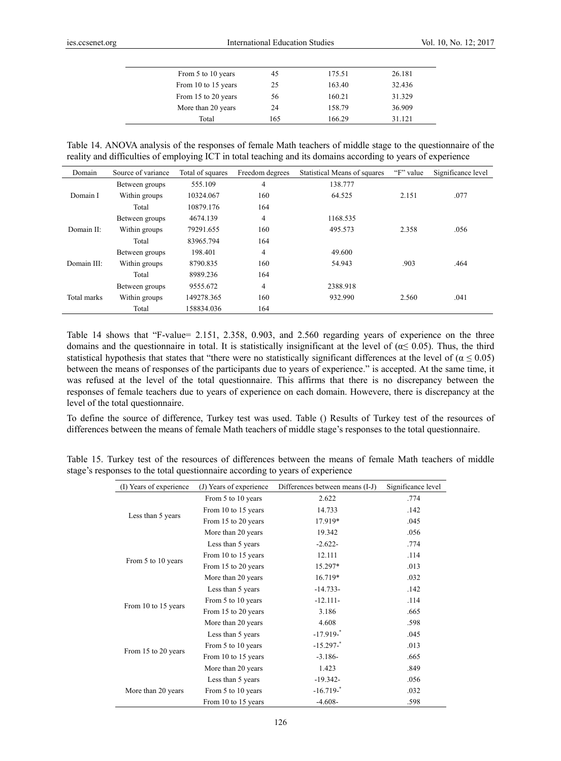| From 5 to 10 years  | 45  | 175.51 | 26.181 |  |
|---------------------|-----|--------|--------|--|
| From 10 to 15 years | 25  | 163.40 | 32.436 |  |
| From 15 to 20 years | 56  | 160.21 | 31.329 |  |
| More than 20 years  | 24  | 158.79 | 36.909 |  |
| Total               | 165 | 166.29 | 31.121 |  |

Table 14. ANOVA analysis of the responses of female Math teachers of middle stage to the questionnaire of the reality and difficulties of employing ICT in total teaching and its domains according to years of experience

| Domain      | Source of variance | Total of squares | Freedom degrees | Statistical Means of squares | "F" value | Significance level |
|-------------|--------------------|------------------|-----------------|------------------------------|-----------|--------------------|
|             | Between groups     | 555.109          | 4               | 138.777                      |           |                    |
| Domain I    | Within groups      | 10324.067        | 160             | 64.525                       | 2.151     | .077               |
|             | Total              | 10879.176        | 164             |                              |           |                    |
|             | Between groups     | 4674.139         | 4               | 1168.535                     |           |                    |
| Domain II:  | Within groups      | 79291.655        | 160             | 495.573                      | 2.358     | .056               |
|             | Total              | 83965.794        | 164             |                              |           |                    |
|             | Between groups     | 198.401          | 4               | 49.600                       |           |                    |
| Domain III: | Within groups      | 8790.835         | 160             | 54.943                       | .903      | .464               |
|             | Total              | 8989.236         | 164             |                              |           |                    |
| Total marks | Between groups     | 9555.672         | 4               | 2388.918                     |           |                    |
|             | Within groups      | 149278.365       | 160             | 932.990                      | 2.560     | .041               |
|             | Total              | 158834.036       | 164             |                              |           |                    |

Table 14 shows that "F-value= 2.151, 2.358, 0.903, and 2.560 regarding years of experience on the three domains and the questionnaire in total. It is statistically insignificant at the level of ( $\alpha \le 0.05$ ). Thus, the third statistical hypothesis that states that "there were no statistically significant differences at the level of ( $\alpha \le 0.05$ ) between the means of responses of the participants due to years of experience." is accepted. At the same time, it was refused at the level of the total questionnaire. This affirms that there is no discrepancy between the responses of female teachers due to years of experience on each domain. Howevere, there is discrepancy at the level of the total questionnaire.

To define the source of difference, Turkey test was used. Table () Results of Turkey test of the resources of differences between the means of female Math teachers of middle stage's responses to the total questionnaire.

| (I) Years of experience | (J) Years of experience | Differences between means (I-J) | Significance level |
|-------------------------|-------------------------|---------------------------------|--------------------|
|                         | From 5 to 10 years      | 2.622                           | .774               |
|                         | From 10 to 15 years     | 14.733                          | .142               |
| Less than 5 years       | From 15 to 20 years     | 17.919*                         | .045               |
|                         | More than 20 years      | 19.342                          | .056               |
|                         | Less than 5 years       | $-2.622-$                       | .774               |
|                         | From 10 to 15 years     | 12.111                          | .114               |
| From 5 to 10 years      | From 15 to 20 years     | 15.297*                         | .013               |
|                         | More than 20 years      | 16.719*                         | .032               |
|                         | Less than 5 years       | $-14.733-$                      | .142               |
|                         | From 5 to 10 years      | $-12.111-$                      | .114               |
| From 10 to 15 years     | From 15 to 20 years     | 3.186                           | .665               |
|                         | More than 20 years      | 4.608                           | .598               |
|                         | Less than 5 years       | $-17.919 -$ *                   | .045               |
|                         | From 5 to 10 years      | $-15.297 -$                     | .013               |
| From 15 to 20 years     | From 10 to 15 years     | $-3.186-$                       | .665               |
|                         | More than 20 years      | 1.423                           | .849               |
|                         | Less than 5 years       | $-19.342-$                      | .056               |
| More than 20 years      | From 5 to 10 years      | $-16.719-$                      | .032               |
|                         | From 10 to 15 years     | $-4.608-$                       | .598               |

Table 15. Turkey test of the resources of differences between the means of female Math teachers of middle stage's responses to the total questionnaire according to years of experience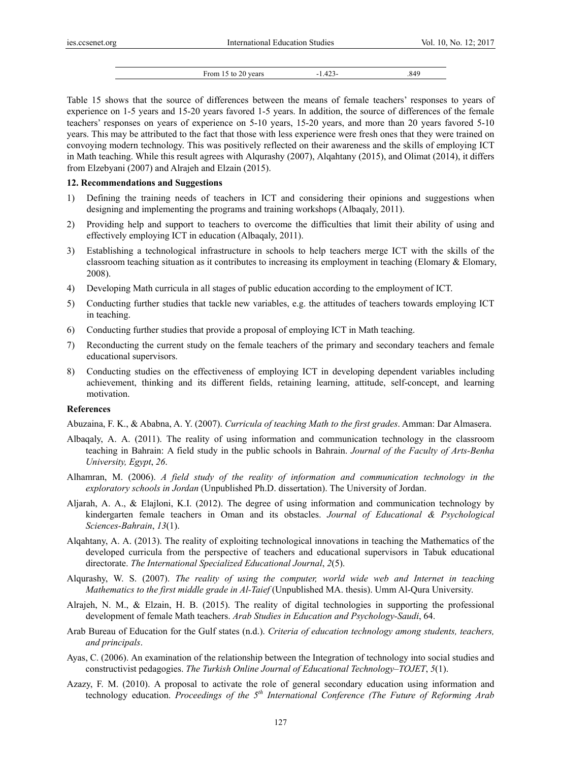From 15 to 20 years -1.423- .849

Table 15 shows that the source of differences between the means of female teachers' responses to years of experience on 1-5 years and 15-20 years favored 1-5 years. In addition, the source of differences of the female teachers' responses on years of experience on 5-10 years, 15-20 years, and more than 20 years favored 5-10 years. This may be attributed to the fact that those with less experience were fresh ones that they were trained on convoying modern technology. This was positively reflected on their awareness and the skills of employing ICT in Math teaching. While this result agrees with Alqurashy (2007), Alqahtany (2015), and Olimat (2014), it differs from Elzebyani (2007) and Alrajeh and Elzain (2015).

#### **12. Recommendations and Suggestions**

- 1) Defining the training needs of teachers in ICT and considering their opinions and suggestions when designing and implementing the programs and training workshops (Albaqaly, 2011).
- 2) Providing help and support to teachers to overcome the difficulties that limit their ability of using and effectively employing ICT in education (Albaqaly, 2011).
- 3) Establishing a technological infrastructure in schools to help teachers merge ICT with the skills of the classroom teaching situation as it contributes to increasing its employment in teaching (Elomary & Elomary, 2008).
- 4) Developing Math curricula in all stages of public education according to the employment of ICT.
- 5) Conducting further studies that tackle new variables, e.g. the attitudes of teachers towards employing ICT in teaching.
- 6) Conducting further studies that provide a proposal of employing ICT in Math teaching.
- 7) Reconducting the current study on the female teachers of the primary and secondary teachers and female educational supervisors.
- 8) Conducting studies on the effectiveness of employing ICT in developing dependent variables including achievement, thinking and its different fields, retaining learning, attitude, self-concept, and learning motivation.

#### **References**

Abuzaina, F. K., & Ababna, A. Y. (2007). *Curricula of teaching Math to the first grades*. Amman: Dar Almasera.

- Albaqaly, A. A. (2011). The reality of using information and communication technology in the classroom teaching in Bahrain: A field study in the public schools in Bahrain. *Journal of the Faculty of Arts-Benha University, Egypt*, *26*.
- Alhamran, M. (2006). *A field study of the reality of information and communication technology in the exploratory schools in Jordan* (Unpublished Ph.D. dissertation). The University of Jordan.
- Aljarah, A. A., & Elajloni, K.I. (2012). The degree of using information and communication technology by kindergarten female teachers in Oman and its obstacles. *Journal of Educational & Psychological Sciences-Bahrain*, *13*(1).
- Alqahtany, A. A. (2013). The reality of exploiting technological innovations in teaching the Mathematics of the developed curricula from the perspective of teachers and educational supervisors in Tabuk educational directorate. *The International Specialized Educational Journal*, *2*(5).
- Alqurashy, W. S. (2007). *The reality of using the computer, world wide web and Internet in teaching Mathematics to the first middle grade in Al-Taief* (Unpublished MA. thesis). Umm Al-Qura University.
- Alrajeh, N. M., & Elzain, H. B. (2015). The reality of digital technologies in supporting the professional development of female Math teachers. *Arab Studies in Education and Psychology-Saudi*, 64.
- Arab Bureau of Education for the Gulf states (n.d.). *Criteria of education technology among students, teachers, and principals*.
- Ayas, C. (2006). An examination of the relationship between the Integration of technology into social studies and constructivist pedagogies. *The Turkish Online Journal of Educational Technology–TOJET*, *5*(1).
- Azazy, F. M. (2010). A proposal to activate the role of general secondary education using information and technology education. *Proceedings of the 5th International Conference (The Future of Reforming Arab*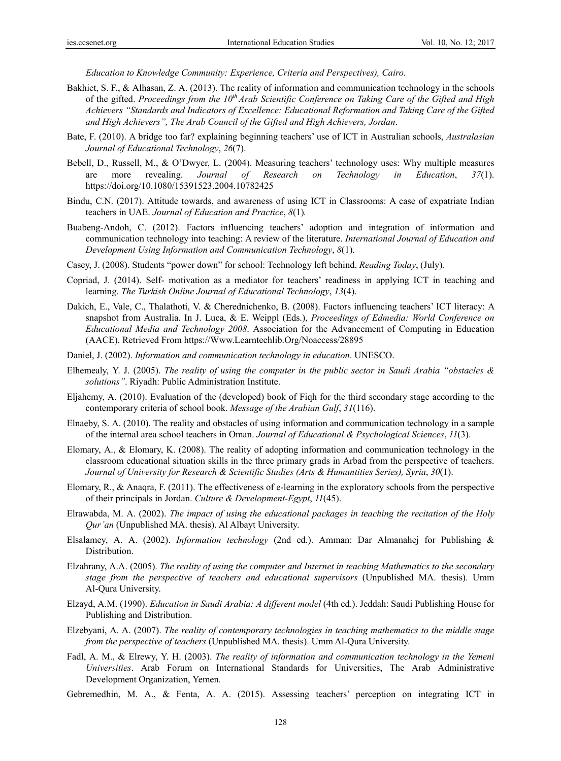*Education to Knowledge Community: Experience, Criteria and Perspectives), Cairo*.

- Bakhiet, S. F., & Alhasan, Z. A. (2013). The reality of information and communication technology in the schools of the gifted. *Proceedings from the 10th Arab Scientific Conference on Taking Care of the Gifted and High Achievers "Standards and Indicators of Excellence: Educational Reformation and Taking Care of the Gifted and High Achievers", The Arab Council of the Gifted and High Achievers, Jordan*.
- Bate, F. (2010). A bridge too far? explaining beginning teachers' use of ICT in Australian schools, *Australasian Journal of Educational Technology*, *26*(7).
- Bebell, D., Russell, M., & O'Dwyer, L. (2004). Measuring teachers' technology uses: Why multiple measures are more revealing. *Journal of Research on Technology in Education*, *37*(1). https://doi.org/10.1080/15391523.2004.10782425
- Bindu, C.N. (2017). Attitude towards, and awareness of using ICT in Classrooms: A case of expatriate Indian teachers in UAE. *Journal of Education and Practice*, *8*(1)*.*
- Buabeng-Andoh, C. (2012). Factors influencing teachers' adoption and integration of information and communication technology into teaching: A review of the literature. *International Journal of Education and Development Using Information and Communication Technology*, *8*(1).
- Casey, J. (2008). Students "power down" for school: Technology left behind. *Reading Today*, (July)*.*
- Copriad, J. (2014). Self- motivation as a mediator for teachers' readiness in applying ICT in teaching and learning. *The Turkish Online Journal of Educational Technology*, *13*(4).
- Dakich, E., Vale, C., Thalathoti, V. & Cherednichenko, B. (2008). Factors influencing teachers' ICT literacy: A snapshot from Australia. In J. Luca, & E. Weippl (Eds.), *Proceedings of Edmedia: World Conference on Educational Media and Technology 2008*. Association for the Advancement of Computing in Education (AACE). Retrieved From https://Www.Learntechlib.Org/Noaccess/28895
- Daniel, J. (2002). *Information and communication technology in education*. UNESCO.
- Elhemealy, Y. J. (2005). *The reality of using the computer in the public sector in Saudi Arabia "obstacles & solutions"*. Riyadh: Public Administration Institute.
- Eljahemy, A. (2010). Evaluation of the (developed) book of Fiqh for the third secondary stage according to the contemporary criteria of school book. *Message of the Arabian Gulf*, *31*(116).
- Elnaeby, S. A. (2010). The reality and obstacles of using information and communication technology in a sample of the internal area school teachers in Oman. *Journal of Educational & Psychological Sciences*, *11*(3).
- Elomary, A., & Elomary, K. (2008). The reality of adopting information and communication technology in the classroom educational situation skills in the three primary grads in Arbad from the perspective of teachers. *Journal of University for Research & Scientific Studies (Arts & Humantities Series), Syria*, *30*(1).
- Elomary, R., & Anaqra, F. (2011). The effectiveness of e-learning in the exploratory schools from the perspective of their principals in Jordan. *Culture & Development-Egypt*, *11*(45).
- Elrawabda, M. A. (2002). *The impact of using the educational packages in teaching the recitation of the Holy Qur'an* (Unpublished MA. thesis). Al Albayt University.
- Elsalamey, A. A. (2002). *Information technology* (2nd ed.). Amman: Dar Almanahej for Publishing & Distribution.
- Elzahrany, A.A. (2005). *The reality of using the computer and Internet in teaching Mathematics to the secondary stage from the perspective of teachers and educational supervisors* (Unpublished MA. thesis). Umm Al-Qura University.
- Elzayd, A.M. (1990). *Education in Saudi Arabia: A different model* (4th ed.). Jeddah: Saudi Publishing House for Publishing and Distribution.
- Elzebyani, A. A. (2007). *The reality of contemporary technologies in teaching mathematics to the middle stage from the perspective of teachers* (Unpublished MA. thesis). Umm Al-Qura University.
- Fadl, A. M., & Elrewy, Y. H. (2003). *The reality of information and communication technology in the Yemeni Universities*. Arab Forum on International Standards for Universities, The Arab Administrative Development Organization, Yemen*.*
- Gebremedhin, M. A., & Fenta, A. A. (2015). Assessing teachers' perception on integrating ICT in